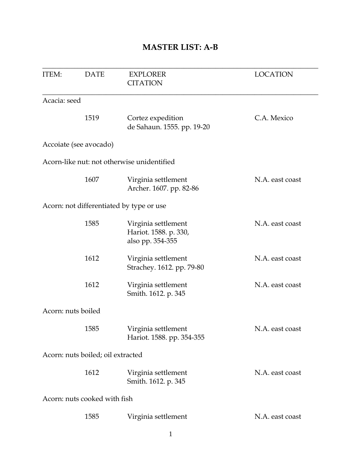## **MASTER LIST: A-B**

| ITEM:                             | <b>DATE</b>                  | <b>EXPLORER</b><br><b>CITATION</b>                               | <b>LOCATION</b> |  |
|-----------------------------------|------------------------------|------------------------------------------------------------------|-----------------|--|
| Acacia: seed                      |                              |                                                                  |                 |  |
|                                   | 1519                         | Cortez expedition<br>de Sahaun. 1555. pp. 19-20                  | C.A. Mexico     |  |
|                                   | Accoiate (see avocado)       |                                                                  |                 |  |
|                                   |                              | Acorn-like nut: not otherwise unidentified                       |                 |  |
|                                   | 1607                         | Virginia settlement<br>Archer. 1607. pp. 82-86                   | N.A. east coast |  |
|                                   |                              | Acorn: not differentiated by type or use                         |                 |  |
|                                   | 1585                         | Virginia settlement<br>Hariot. 1588. p. 330,<br>also pp. 354-355 | N.A. east coast |  |
|                                   | 1612                         | Virginia settlement<br>Strachey. 1612. pp. 79-80                 | N.A. east coast |  |
|                                   | 1612                         | Virginia settlement<br>Smith. 1612. p. 345                       | N.A. east coast |  |
|                                   | Acorn: nuts boiled           |                                                                  |                 |  |
|                                   | 1585                         | Virginia settlement<br>Hariot. 1588. pp. 354-355                 | N.A. east coast |  |
| Acorn: nuts boiled; oil extracted |                              |                                                                  |                 |  |
|                                   | 1612                         | Virginia settlement<br>Smith. 1612. p. 345                       | N.A. east coast |  |
|                                   | Acorn: nuts cooked with fish |                                                                  |                 |  |
|                                   | 1585                         | Virginia settlement                                              | N.A. east coast |  |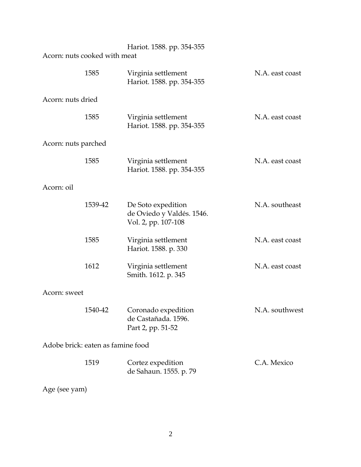| Acorn: nuts cooked with meat      |                                             | Hariot. 1588. pp. 354-355 |                 |
|-----------------------------------|---------------------------------------------|---------------------------|-----------------|
| 1585                              | Virginia settlement                         | Hariot. 1588. pp. 354-355 | N.A. east coast |
| Acorn: nuts dried                 |                                             |                           |                 |
| 1585                              | Virginia settlement                         | Hariot. 1588. pp. 354-355 | N.A. east coast |
| Acorn: nuts parched               |                                             |                           |                 |
| 1585                              | Virginia settlement                         | Hariot. 1588. pp. 354-355 | N.A. east coast |
| Acorn: oil                        |                                             |                           |                 |
| 1539-42                           | De Soto expedition<br>Vol. 2, pp. 107-108   | de Oviedo y Valdés. 1546. | N.A. southeast  |
| 1585                              | Virginia settlement<br>Hariot. 1588. p. 330 |                           | N.A. east coast |
| 1612                              | Virginia settlement<br>Smith. 1612. p. 345  |                           | N.A. east coast |
| Acorn: sweet                      |                                             |                           |                 |
| 1540-42                           | de Castañada. 1596.<br>Part 2, pp. 51-52    | Coronado expedition       | N.A. southwest  |
| Adobe brick: eaten as famine food |                                             |                           |                 |
| 1519                              | Cortez expedition                           | de Sahaun. 1555. p. 79    | C.A. Mexico     |
| Age (see yam)                     |                                             |                           |                 |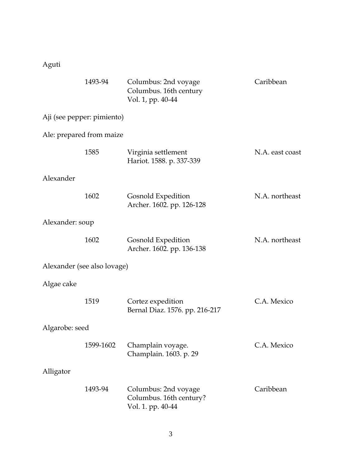Aguti

|                            | 1493-94                     | Columbus: 2nd voyage<br>Columbus. 16th century<br>Vol. 1, pp. 40-44  | Caribbean       |
|----------------------------|-----------------------------|----------------------------------------------------------------------|-----------------|
| Aji (see pepper: pimiento) |                             |                                                                      |                 |
| Ale: prepared from maize   |                             |                                                                      |                 |
|                            | 1585                        | Virginia settlement<br>Hariot. 1588. p. 337-339                      | N.A. east coast |
| Alexander                  |                             |                                                                      |                 |
|                            | 1602                        | Gosnold Expedition<br>Archer. 1602. pp. 126-128                      | N.A. northeast  |
| Alexander: soup            |                             |                                                                      |                 |
|                            | 1602                        | Gosnold Expedition<br>Archer. 1602. pp. 136-138                      | N.A. northeast  |
|                            | Alexander (see also lovage) |                                                                      |                 |
| Algae cake                 |                             |                                                                      |                 |
|                            | 1519                        | Cortez expedition<br>Bernal Diaz. 1576. pp. 216-217                  | C.A. Mexico     |
| Algarobe: seed             |                             |                                                                      |                 |
|                            | 1599-1602                   | Champlain voyage.<br>Champlain. 1603. p. 29                          | C.A. Mexico     |
| Alligator                  |                             |                                                                      |                 |
|                            | 1493-94                     | Columbus: 2nd voyage<br>Columbus. 16th century?<br>Vol. 1. pp. 40-44 | Caribbean       |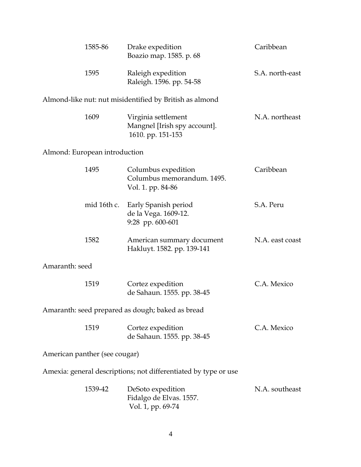|                | 1585-86                       | Drake expedition<br>Boazio map. 1585. p. 68                              | Caribbean       |
|----------------|-------------------------------|--------------------------------------------------------------------------|-----------------|
|                | 1595                          | Raleigh expedition<br>Raleigh. 1596. pp. 54-58                           | S.A. north-east |
|                |                               | Almond-like nut: nut misidentified by British as almond                  |                 |
|                | 1609                          | Virginia settlement<br>Mangnel [Irish spy account].<br>1610. pp. 151-153 | N.A. northeast  |
|                | Almond: European introduction |                                                                          |                 |
|                | 1495                          | Columbus expedition<br>Columbus memorandum. 1495.<br>Vol. 1. pp. 84-86   | Caribbean       |
|                | mid 16th c.                   | Early Spanish period<br>de la Vega. 1609-12.<br>9:28 pp. 600-601         | S.A. Peru       |
|                | 1582                          | American summary document<br>Hakluyt. 1582. pp. 139-141                  | N.A. east coast |
| Amaranth: seed |                               |                                                                          |                 |
|                | 1519                          | Cortez expedition<br>de Sahaun. 1555. pp. 38-45                          | C.A. Mexico     |
|                |                               | Amaranth: seed prepared as dough; baked as bread                         |                 |
|                | 1519                          | Cortez expedition<br>de Sahaun. 1555. pp. 38-45                          | C.A. Mexico     |
|                | American panther (see cougar) |                                                                          |                 |
|                |                               | Amexia: general descriptions; not differentiated by type or use          |                 |
|                | 1539-42                       | DeSoto expedition<br>Fidalgo de Elvas. 1557.<br>Vol. 1, pp. 69-74        | N.A. southeast  |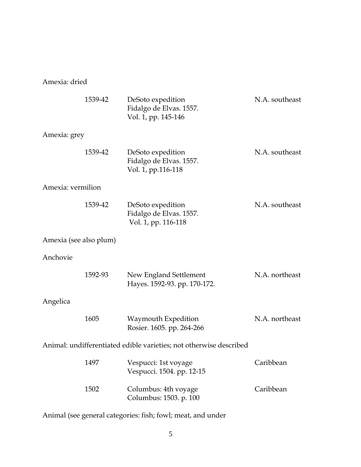### Amexia: dried

|                                                                    | 1539-42 | DeSoto expedition<br>Fidalgo de Elvas. 1557.<br>Vol. 1, pp. 145-146 | N.A. southeast |  |
|--------------------------------------------------------------------|---------|---------------------------------------------------------------------|----------------|--|
| Amexia: grey                                                       |         |                                                                     |                |  |
|                                                                    | 1539-42 | DeSoto expedition<br>Fidalgo de Elvas. 1557.<br>Vol. 1, pp.116-118  | N.A. southeast |  |
| Amexia: vermilion                                                  |         |                                                                     |                |  |
|                                                                    | 1539-42 | DeSoto expedition<br>Fidalgo de Elvas. 1557.<br>Vol. 1, pp. 116-118 | N.A. southeast |  |
| Amexia (see also plum)                                             |         |                                                                     |                |  |
| Anchovie                                                           |         |                                                                     |                |  |
|                                                                    | 1592-93 | New England Settlement<br>Hayes. 1592-93. pp. 170-172.              | N.A. northeast |  |
| Angelica                                                           |         |                                                                     |                |  |
|                                                                    | 1605    | Waymouth Expedition<br>Rosier. 1605. pp. 264-266                    | N.A. northeast |  |
| Animal: undifferentiated edible varieties; not otherwise described |         |                                                                     |                |  |
|                                                                    | 1497    | Vespucci: 1st voyage<br>Vespucci. 1504. pp. 12-15                   | Caribbean      |  |
|                                                                    | 1502    | Columbus: 4th voyage<br>Columbus: 1503. p. 100                      | Caribbean      |  |

Animal (see general categories: fish; fowl; meat, and under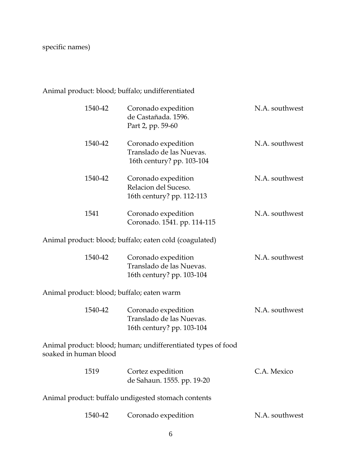specific names)

# Animal product: blood; buffalo; undifferentiated

| 1540-42                                    | Coronado expedition<br>de Castañada. 1596.<br>Part 2, pp. 59-60              | N.A. southwest |
|--------------------------------------------|------------------------------------------------------------------------------|----------------|
| 1540-42                                    | Coronado expedition<br>Translado de las Nuevas.<br>16th century? pp. 103-104 | N.A. southwest |
| 1540-42                                    | Coronado expedition<br>Relacion del Suceso.<br>16th century? pp. 112-113     | N.A. southwest |
| 1541                                       | Coronado expedition<br>Coronado. 1541. pp. 114-115                           | N.A. southwest |
|                                            | Animal product: blood; buffalo; eaten cold (coagulated)                      |                |
| 1540-42                                    | Coronado expedition<br>Translado de las Nuevas.<br>16th century? pp. 103-104 | N.A. southwest |
| Animal product: blood; buffalo; eaten warm |                                                                              |                |
| 1540-42                                    | Coronado expedition<br>Translado de las Nuevas.<br>16th century? pp. 103-104 | N.A. southwest |
| soaked in human blood                      | Animal product: blood; human; undifferentiated types of food                 |                |
| 1519                                       | Cortez expedition<br>de Sahaun. 1555. pp. 19-20                              | C.A. Mexico    |
|                                            | Animal product: buffalo undigested stomach contents                          |                |
| 1540-42                                    | Coronado expedition                                                          | N.A. southwest |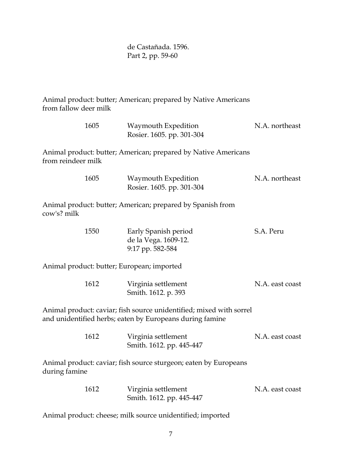de Castañada. 1596. Part 2, pp. 59-60

Animal product: butter; American; prepared by Native Americans from fallow deer milk

| 1605               | Waymouth Expedition<br>Rosier. 1605. pp. 301-304                                                                                | N.A. northeast  |
|--------------------|---------------------------------------------------------------------------------------------------------------------------------|-----------------|
| from reindeer milk | Animal product: butter; American; prepared by Native Americans                                                                  |                 |
| 1605               | Waymouth Expedition<br>Rosier. 1605. pp. 301-304                                                                                | N.A. northeast  |
| cow's? milk        | Animal product: butter; American; prepared by Spanish from                                                                      |                 |
| 1550               | Early Spanish period<br>de la Vega. 1609-12.<br>9:17 pp. 582-584                                                                | S.A. Peru       |
|                    | Animal product: butter; European; imported                                                                                      |                 |
| 1612               | Virginia settlement<br>Smith. 1612. p. 393                                                                                      | N.A. east coast |
|                    | Animal product: caviar; fish source unidentified; mixed with sorrel<br>and unidentified herbs; eaten by Europeans during famine |                 |
| 1612               | Virginia settlement<br>Smith. 1612. pp. 445-447                                                                                 | N.A. east coast |
| during famine      | Animal product: caviar; fish source sturgeon; eaten by Europeans                                                                |                 |
| 1612               | Virginia settlement<br>Smith. 1612. pp. 445-447                                                                                 | N.A. east coast |
|                    | Animal product: cheese; milk source unidentified; imported                                                                      |                 |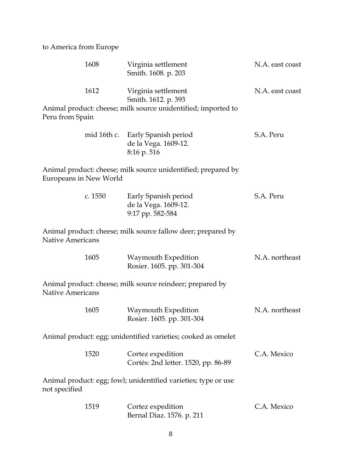to America from Europe

| 1608                    | Virginia settlement<br>Smith. 1608. p. 203                       | N.A. east coast |
|-------------------------|------------------------------------------------------------------|-----------------|
| 1612                    | Virginia settlement<br>Smith. 1612. p. 393                       | N.A. east coast |
| Peru from Spain         | Animal product: cheese; milk source unidentified; imported to    |                 |
| mid 16th c.             | Early Spanish period<br>de la Vega. 1609-12.<br>8:16 p. 516      | S.A. Peru       |
| Europeans in New World  | Animal product: cheese; milk source unidentified; prepared by    |                 |
| c. 1550                 | Early Spanish period<br>de la Vega. 1609-12.<br>9:17 pp. 582-584 | S.A. Peru       |
| <b>Native Americans</b> | Animal product: cheese; milk source fallow deer; prepared by     |                 |
| 1605                    | Waymouth Expedition<br>Rosier. 1605. pp. 301-304                 | N.A. northeast  |
| <b>Native Americans</b> | Animal product: cheese; milk source reindeer; prepared by        |                 |
| 1605                    | Waymouth Expedition<br>Rosier. 1605. pp. 301-304                 | N.A. northeast  |
|                         | Animal product: egg; unidentified varieties; cooked as omelet    |                 |
| 1520                    | Cortez expedition<br>Cortés: 2nd letter. 1520, pp. 86-89         | C.A. Mexico     |
| not specified           | Animal product: egg; fowl; unidentified varieties; type or use   |                 |
| 1519                    | Cortez expedition<br>Bernal Diaz. 1576. p. 211                   | C.A. Mexico     |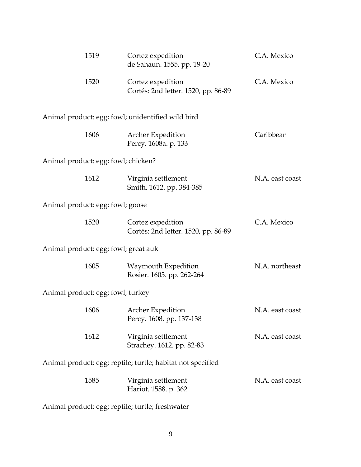| 1519                                 |  | Cortez expedition<br>de Sahaun. 1555. pp. 19-20             | C.A. Mexico     |  |
|--------------------------------------|--|-------------------------------------------------------------|-----------------|--|
| 1520                                 |  | Cortez expedition<br>Cortés: 2nd letter. 1520, pp. 86-89    | C.A. Mexico     |  |
|                                      |  | Animal product: egg; fowl; unidentified wild bird           |                 |  |
| 1606                                 |  | Archer Expedition<br>Percy. 1608a. p. 133                   | Caribbean       |  |
| Animal product: egg; fowl; chicken?  |  |                                                             |                 |  |
| 1612                                 |  | Virginia settlement<br>Smith. 1612. pp. 384-385             | N.A. east coast |  |
| Animal product: egg; fowl; goose     |  |                                                             |                 |  |
| 1520                                 |  | Cortez expedition<br>Cortés: 2nd letter. 1520, pp. 86-89    | C.A. Mexico     |  |
| Animal product: egg; fowl; great auk |  |                                                             |                 |  |
| 1605                                 |  | Waymouth Expedition<br>Rosier. 1605. pp. 262-264            | N.A. northeast  |  |
| Animal product: egg; fowl; turkey    |  |                                                             |                 |  |
| 1606                                 |  | <b>Archer Expedition</b><br>Percy. 1608. pp. 137-138        | N.A. east coast |  |
| 1612                                 |  | Virginia settlement<br>Strachey. 1612. pp. 82-83            | N.A. east coast |  |
|                                      |  | Animal product: egg; reptile; turtle; habitat not specified |                 |  |
| 1585                                 |  | Virginia settlement<br>Hariot. 1588. p. 362                 | N.A. east coast |  |
|                                      |  |                                                             |                 |  |

Animal product: egg; reptile; turtle; freshwater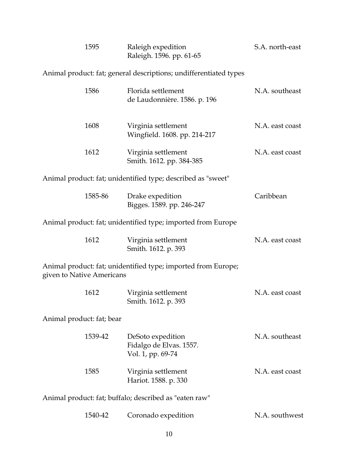| 1595                      | Raleigh expedition<br>Raleigh. 1596. pp. 61-65                    | S.A. north-east |
|---------------------------|-------------------------------------------------------------------|-----------------|
|                           | Animal product: fat; general descriptions; undifferentiated types |                 |
| 1586                      | Florida settlement<br>de Laudonnière. 1586. p. 196                | N.A. southeast  |
| 1608                      | Virginia settlement<br>Wingfield. 1608. pp. 214-217               | N.A. east coast |
| 1612                      | Virginia settlement<br>Smith. 1612. pp. 384-385                   | N.A. east coast |
|                           | Animal product: fat; unidentified type; described as "sweet"      |                 |
| 1585-86                   | Drake expedition<br>Bigges. 1589. pp. 246-247                     | Caribbean       |
|                           | Animal product: fat; unidentified type; imported from Europe      |                 |
| 1612                      | Virginia settlement<br>Smith. 1612. p. 393                        | N.A. east coast |
| given to Native Americans | Animal product: fat; unidentified type; imported from Europe;     |                 |
| 1612                      | Virginia settlement<br>Smith. 1612. p. 393                        | N.A. east coast |
| Animal product: fat; bear |                                                                   |                 |
| 1539-42                   | DeSoto expedition<br>Fidalgo de Elvas. 1557.<br>Vol. 1, pp. 69-74 | N.A. southeast  |
| 1585                      | Virginia settlement<br>Hariot. 1588. p. 330                       | N.A. east coast |
|                           | Animal product: fat; buffalo; described as "eaten raw"            |                 |
| 1540-42                   | Coronado expedition                                               | N.A. southwest  |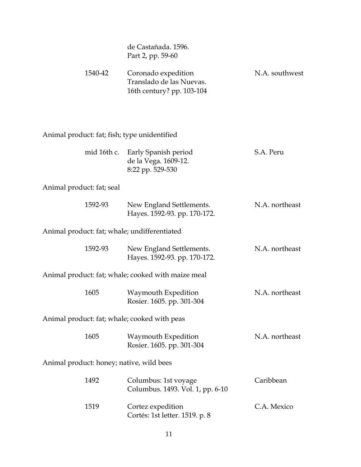| 1540-42                                      | de Castañada. 1596.<br>Part 2, pp. 59-60<br>Coronado expedition<br>Translado de las Nuevas.<br>16th century? pp. 103-104 | N.A. southwest |  |  |
|----------------------------------------------|--------------------------------------------------------------------------------------------------------------------------|----------------|--|--|
| Animal product: fat; fish; type unidentified |                                                                                                                          |                |  |  |
| mid 16th c.                                  | Early Spanish period<br>de la Vega. 1609-12.<br>8:22 pp. 529-530                                                         | S.A. Peru      |  |  |
| Animal product: fat; seal                    |                                                                                                                          |                |  |  |
| 1592-93                                      | New England Settlements.<br>Hayes. 1592-93. pp. 170-172.                                                                 | N.A. northeast |  |  |
| Animal product: fat; whale; undifferentiated |                                                                                                                          |                |  |  |
| 1592-93                                      | New England Settlements.<br>Hayes. 1592-93. pp. 170-172.                                                                 | N.A. northeast |  |  |
|                                              | Animal product: fat; whale; cooked with maize meal                                                                       |                |  |  |
| 1605                                         | Waymouth Expedition<br>Rosier. 1605. pp. 301-304                                                                         | N.A. northeast |  |  |
| Animal product: fat; whale; cooked with peas |                                                                                                                          |                |  |  |
| 1605                                         | Waymouth Expedition<br>Rosier. 1605. pp. 301-304                                                                         | N.A. northeast |  |  |
| Animal product: honey; native, wild bees     |                                                                                                                          |                |  |  |
| 1492                                         | Columbus: 1st voyage<br>Columbus. 1493. Vol. 1, pp. 6-10                                                                 | Caribbean      |  |  |
| 1519                                         | Cortez expedition<br>Cortés: 1st letter. 1519. p. 8                                                                      | C.A. Mexico    |  |  |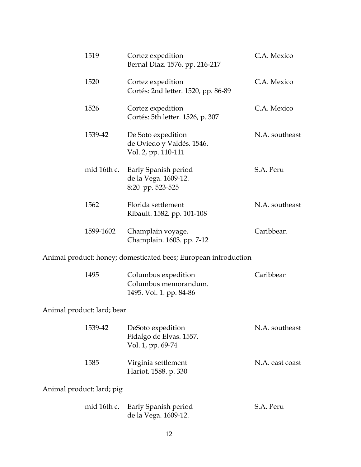|                            | 1519        | Cortez expedition<br>Bernal Diaz. 1576. pp. 216-217                    | C.A. Mexico     |
|----------------------------|-------------|------------------------------------------------------------------------|-----------------|
|                            | 1520        | Cortez expedition<br>Cortés: 2nd letter. 1520, pp. 86-89               | C.A. Mexico     |
|                            | 1526        | Cortez expedition<br>Cortés: 5th letter. 1526, p. 307                  | C.A. Mexico     |
|                            | 1539-42     | De Soto expedition<br>de Oviedo y Valdés. 1546.<br>Vol. 2, pp. 110-111 | N.A. southeast  |
|                            | mid 16th c. | Early Spanish period<br>de la Vega. 1609-12.<br>8:20 pp. 523-525       | S.A. Peru       |
|                            | 1562        | Florida settlement<br>Ribault. 1582. pp. 101-108                       | N.A. southeast  |
|                            | 1599-1602   | Champlain voyage.<br>Champlain. 1603. pp. 7-12                         | Caribbean       |
|                            |             | Animal product: honey; domesticated bees; European introduction        |                 |
|                            | 1495        | Columbus expedition<br>Columbus memorandum.<br>1495. Vol. 1. pp. 84-86 | Caribbean       |
| Animal product: lard; bear |             |                                                                        |                 |
|                            | 1539-42     | DeSoto expedition<br>Fidalgo de Elvas. 1557.<br>Vol. 1, pp. 69-74      | N.A. southeast  |
|                            | 1585        | Virginia settlement<br>Hariot. 1588. p. 330                            | N.A. east coast |
| Animal product: lard; pig  |             |                                                                        |                 |
|                            | mid 16th c. | Early Spanish period<br>de la Vega. 1609-12.                           | S.A. Peru       |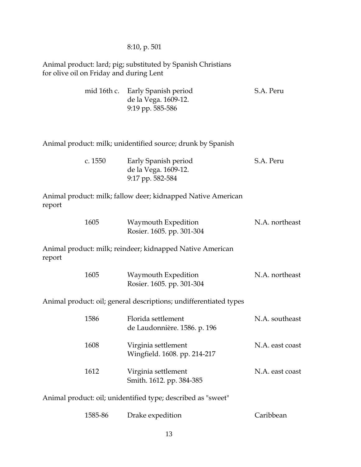#### 8:10, p. 501

Animal product: lard; pig; substituted by Spanish Christians for olive oil on Friday and during Lent

| mid 16th c. Early Spanish period | S.A. Peru |
|----------------------------------|-----------|
| de la Vega. 1609-12.             |           |
| $9:19$ pp. 585-586               |           |

#### Animal product: milk; unidentified source; drunk by Spanish

| c. $1550$ | Early Spanish period | S.A. Peru |
|-----------|----------------------|-----------|
|           | de la Vega. 1609-12. |           |
|           | 9:17 pp. $582-584$   |           |

Animal product: milk; fallow deer; kidnapped Native American report

| 1605 | Waymouth Expedition       | N.A. northeast |
|------|---------------------------|----------------|
|      | Rosier. 1605. pp. 301-304 |                |

Animal product: milk; reindeer; kidnapped Native American report

| 1605 | Waymouth Expedition       | N.A. northeast |
|------|---------------------------|----------------|
|      | Rosier. 1605. pp. 301-304 |                |

Animal product: oil; general descriptions; undifferentiated types

| 1586 | Florida settlement<br>de Laudonnière. 1586. p. 196  | N.A. southeast  |
|------|-----------------------------------------------------|-----------------|
| 1608 | Virginia settlement<br>Wingfield. 1608. pp. 214-217 | N.A. east coast |
| 1612 | Virginia settlement<br>Smith. 1612. pp. 384-385     | N.A. east coast |

Animal product: oil; unidentified type; described as "sweet"

| 1585-86 | Drake expedition | Caribbean |
|---------|------------------|-----------|
|---------|------------------|-----------|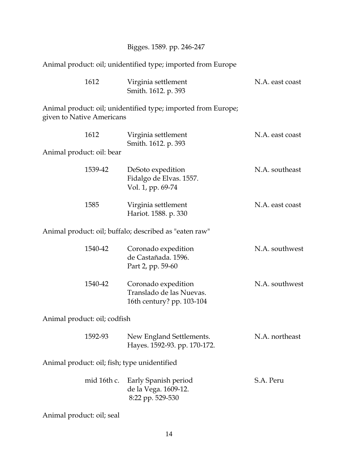|                                              | Bigges. 1589. pp. 246-247                                                    |                 |
|----------------------------------------------|------------------------------------------------------------------------------|-----------------|
|                                              | Animal product: oil; unidentified type; imported from Europe                 |                 |
| 1612                                         | Virginia settlement<br>Smith. 1612. p. 393                                   | N.A. east coast |
| given to Native Americans                    | Animal product: oil; unidentified type; imported from Europe;                |                 |
| 1612                                         | Virginia settlement<br>Smith. 1612. p. 393                                   | N.A. east coast |
| Animal product: oil: bear                    |                                                                              |                 |
| 1539-42                                      | DeSoto expedition<br>Fidalgo de Elvas. 1557.<br>Vol. 1, pp. 69-74            | N.A. southeast  |
| 1585                                         | Virginia settlement<br>Hariot. 1588. p. 330                                  | N.A. east coast |
|                                              | Animal product: oil; buffalo; described as "eaten raw"                       |                 |
| 1540-42                                      | Coronado expedition<br>de Castañada. 1596.<br>Part 2, pp. 59-60              | N.A. southwest  |
| 1540-42                                      | Coronado expedition<br>Translado de las Nuevas.<br>16th century? pp. 103-104 | N.A. southwest  |
| Animal product: oil; codfish                 |                                                                              |                 |
| 1592-93                                      | New England Settlements.<br>Hayes. 1592-93. pp. 170-172.                     | N.A. northeast  |
| Animal product: oil; fish; type unidentified |                                                                              |                 |
| mid 16th c.                                  | Early Spanish period<br>de la Vega. 1609-12.<br>8:22 pp. 529-530             | S.A. Peru       |
| Animal product: oil; seal                    |                                                                              |                 |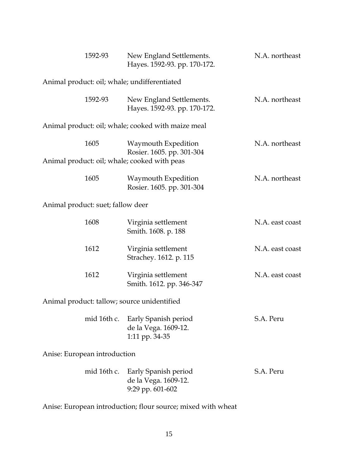| 1592-93                                      | New England Settlements.<br>Hayes. 1592-93. pp. 170-172.         | N.A. northeast  |  |
|----------------------------------------------|------------------------------------------------------------------|-----------------|--|
| Animal product: oil; whale; undifferentiated |                                                                  |                 |  |
| 1592-93                                      | New England Settlements.<br>Hayes. 1592-93. pp. 170-172.         | N.A. northeast  |  |
|                                              | Animal product: oil; whale; cooked with maize meal               |                 |  |
| 1605                                         | Waymouth Expedition<br>Rosier. 1605. pp. 301-304                 | N.A. northeast  |  |
| Animal product: oil; whale; cooked with peas |                                                                  |                 |  |
| 1605                                         | Waymouth Expedition<br>Rosier. 1605. pp. 301-304                 | N.A. northeast  |  |
| Animal product: suet; fallow deer            |                                                                  |                 |  |
| 1608                                         | Virginia settlement<br>Smith. 1608. p. 188                       | N.A. east coast |  |
| 1612                                         | Virginia settlement<br>Strachey. 1612. p. 115                    | N.A. east coast |  |
| 1612                                         | Virginia settlement<br>Smith. 1612. pp. 346-347                  | N.A. east coast |  |
| Animal product: tallow; source unidentified  |                                                                  |                 |  |
| mid 16th c.                                  | Early Spanish period<br>de la Vega. 1609-12.<br>1:11 pp. 34-35   | S.A. Peru       |  |
| Anise: European introduction                 |                                                                  |                 |  |
| mid 16th c.                                  | Early Spanish period<br>de la Vega. 1609-12.<br>9:29 pp. 601-602 | S.A. Peru       |  |

Anise: European introduction; flour source; mixed with wheat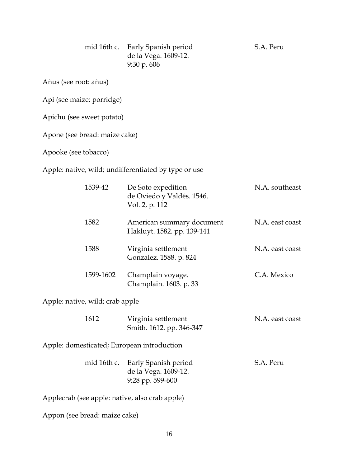| mid 16th c.                                    | Early Spanish period<br>de la Vega. 1609-12.<br>9:30 p. 606       | S.A. Peru       |
|------------------------------------------------|-------------------------------------------------------------------|-----------------|
| Añus (see root: añus)                          |                                                                   |                 |
| Api (see maize: porridge)                      |                                                                   |                 |
| Apichu (see sweet potato)                      |                                                                   |                 |
| Apone (see bread: maize cake)                  |                                                                   |                 |
| Apooke (see tobacco)                           |                                                                   |                 |
|                                                | Apple: native, wild; undifferentiated by type or use              |                 |
| 1539-42                                        | De Soto expedition<br>de Oviedo y Valdés. 1546.<br>Vol. 2, p. 112 | N.A. southeast  |
| 1582                                           | American summary document<br>Hakluyt. 1582. pp. 139-141           | N.A. east coast |
| 1588                                           | Virginia settlement<br>Gonzalez. 1588. p. 824                     | N.A. east coast |
| 1599-1602                                      | Champlain voyage.<br>Champlain. 1603. p. 33                       | C.A. Mexico     |
| Apple: native, wild; crab apple                |                                                                   |                 |
| 1612                                           | Virginia settlement<br>Smith. 1612. pp. 346-347                   | N.A. east coast |
| Apple: domesticated; European introduction     |                                                                   |                 |
| mid 16th c.                                    | Early Spanish period<br>de la Vega. 1609-12.<br>9:28 pp. 599-600  | S.A. Peru       |
| Applecrab (see apple: native, also crab apple) |                                                                   |                 |
| Appon (see bread: maize cake)                  |                                                                   |                 |
|                                                |                                                                   |                 |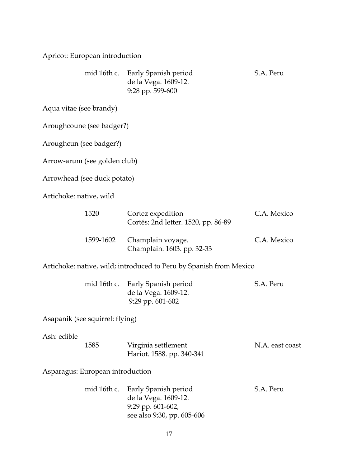Apricot: European introduction

|                                 | mid 16th c. Early Spanish period<br>de la Vega. 1609-12.<br>9:28 pp. 599-600 | S.A. Peru   |
|---------------------------------|------------------------------------------------------------------------------|-------------|
| Aqua vitae (see brandy)         |                                                                              |             |
| Arough coune (see badger?)      |                                                                              |             |
| Aroughcun (see badger?)         |                                                                              |             |
| Arrow-arum (see golden club)    |                                                                              |             |
| Arrowhead (see duck potato)     |                                                                              |             |
| Artichoke: native, wild         |                                                                              |             |
| 1520                            | Cortez expedition<br>Cortés: 2nd letter. 1520, pp. 86-89                     | C.A. Mexico |
| 1599-1602                       | Champlain voyage.<br>Champlain. 1603. pp. 32-33                              | C.A. Mexico |
|                                 | Artichoke: native, wild; introduced to Peru by Spanish from Mexico           |             |
|                                 | mid 16th c. Early Spanish period<br>de la Vega. 1609-12.<br>9:29 pp. 601-602 | S.A. Peru   |
| Asapanik (see squirrel: flying) |                                                                              |             |

Ash: edible

| 1585 | Virginia settlement       | N.A. east coast |
|------|---------------------------|-----------------|
|      | Hariot. 1588. pp. 340-341 |                 |

Asparagus: European introduction

| mid 16th c. Early Spanish period | S.A. Peru |
|----------------------------------|-----------|
| de la Vega. 1609-12.             |           |
| 9:29 pp. $601-602$ ,             |           |
| see also 9:30, pp. 605-606       |           |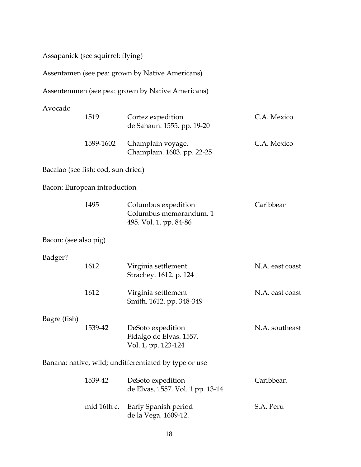| Assapanick (see squirrel: flying) |  |
|-----------------------------------|--|
|                                   |  |

Assentamen (see pea: grown by Native Americans)

Assentemmen (see pea: grown by Native Americans)

| Avocado               |                                    |                                                                         |                 |
|-----------------------|------------------------------------|-------------------------------------------------------------------------|-----------------|
|                       | 1519                               | Cortez expedition<br>de Sahaun. 1555. pp. 19-20                         | C.A. Mexico     |
|                       | 1599-1602                          | Champlain voyage.<br>Champlain. 1603. pp. 22-25                         | C.A. Mexico     |
|                       | Bacalao (see fish: cod, sun dried) |                                                                         |                 |
|                       | Bacon: European introduction       |                                                                         |                 |
|                       | 1495                               | Columbus expedition<br>Columbus memorandum. 1<br>495. Vol. 1. pp. 84-86 | Caribbean       |
| Bacon: (see also pig) |                                    |                                                                         |                 |
| Badger?               |                                    |                                                                         |                 |
|                       | 1612                               | Virginia settlement<br>Strachey. 1612. p. 124                           | N.A. east coast |
|                       | 1612                               | Virginia settlement<br>Smith. 1612. pp. 348-349                         | N.A. east coast |
| Bagre (fish)          |                                    |                                                                         |                 |
|                       | 1539-42                            | DeSoto expedition<br>Fidalgo de Elvas. 1557.<br>Vol. 1, pp. 123-124     | N.A. southeast  |
|                       |                                    | Banana: native, wild; undifferentiated by type or use                   |                 |
|                       | 1539-42                            | DeSoto expedition<br>de Elvas. 1557. Vol. 1 pp. 13-14                   | Caribbean       |
|                       | mid 16th c.                        | Early Spanish period                                                    | S.A. Peru       |

de la Vega. 1609-12.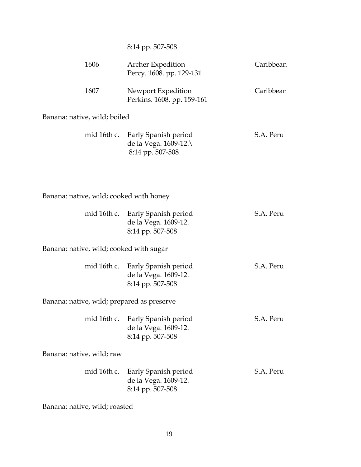| 8:14 pp. 507-508 |  |
|------------------|--|
|------------------|--|

| 1606                                       | Archer Expedition<br>Percy. 1608. pp. 129-131                     | Caribbean |
|--------------------------------------------|-------------------------------------------------------------------|-----------|
| 1607                                       | Newport Expedition<br>Perkins. 1608. pp. 159-161                  | Caribbean |
| Banana: native, wild; boiled               |                                                                   |           |
| mid 16th c.                                | Early Spanish period<br>de la Vega. 1609-12.\<br>8:14 pp. 507-508 | S.A. Peru |
|                                            |                                                                   |           |
| Banana: native, wild; cooked with honey    |                                                                   |           |
| mid 16th c.                                | Early Spanish period<br>de la Vega. 1609-12.<br>8:14 pp. 507-508  | S.A. Peru |
| Banana: native, wild; cooked with sugar    |                                                                   |           |
| mid 16th c.                                | Early Spanish period<br>de la Vega. 1609-12.<br>8:14 pp. 507-508  | S.A. Peru |
| Banana: native, wild; prepared as preserve |                                                                   |           |
| mid 16th c.                                | Early Spanish period<br>de la Vega. 1609-12.<br>8:14 pp. 507-508  | S.A. Peru |
| Banana: native, wild; raw                  |                                                                   |           |
| mid 16th c.                                | Early Spanish period<br>de la Vega. 1609-12.<br>8:14 pp. 507-508  | S.A. Peru |

Banana: native, wild; roasted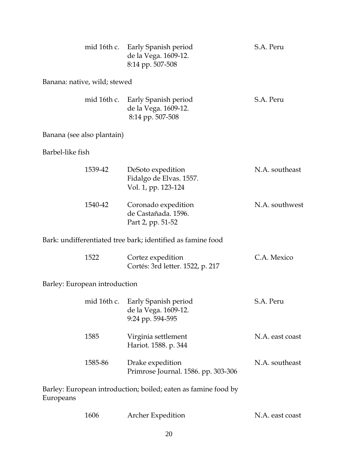|                               |             | mid 16th c. Early Spanish period<br>de la Vega. 1609-12.<br>8:14 pp. 507-508 | S.A. Peru       |
|-------------------------------|-------------|------------------------------------------------------------------------------|-----------------|
| Banana: native, wild; stewed  |             |                                                                              |                 |
|                               | mid 16th c. | Early Spanish period<br>de la Vega. 1609-12.<br>8:14 pp. 507-508             | S.A. Peru       |
| Banana (see also plantain)    |             |                                                                              |                 |
| Barbel-like fish              |             |                                                                              |                 |
|                               | 1539-42     | DeSoto expedition<br>Fidalgo de Elvas. 1557.<br>Vol. 1, pp. 123-124          | N.A. southeast  |
|                               | 1540-42     | Coronado expedition<br>de Castañada. 1596.<br>Part 2, pp. 51-52              | N.A. southwest  |
|                               |             | Bark: undifferentiated tree bark; identified as famine food                  |                 |
|                               | 1522        | Cortez expedition<br>Cortés: 3rd letter. 1522, p. 217                        | C.A. Mexico     |
| Barley: European introduction |             |                                                                              |                 |
|                               | mid 16th c. | Early Spanish period<br>de la Vega. 1609-12.<br>9:24 pp. 594-595             | S.A. Peru       |
|                               | 1585        | Virginia settlement<br>Hariot. 1588. p. 344                                  | N.A. east coast |
|                               | 1585-86     | Drake expedition<br>Primrose Journal. 1586. pp. 303-306                      | N.A. southeast  |
| Europeans                     |             | Barley: European introduction; boiled; eaten as famine food by               |                 |
|                               | 1606        | Archer Expedition                                                            | N.A. east coast |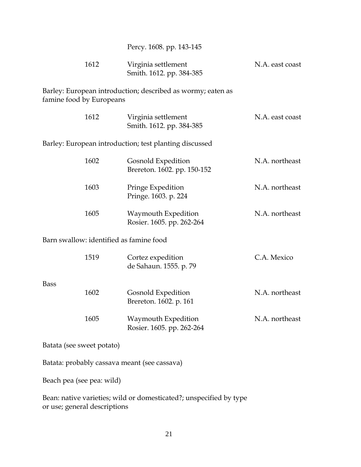|             |                           | Percy. 1608. pp. 143-145                                    |                 |
|-------------|---------------------------|-------------------------------------------------------------|-----------------|
|             | 1612                      | Virginia settlement<br>Smith. 1612. pp. 384-385             | N.A. east coast |
|             | famine food by Europeans  | Barley: European introduction; described as wormy; eaten as |                 |
|             | 1612                      | Virginia settlement<br>Smith. 1612. pp. 384-385             | N.A. east coast |
|             |                           | Barley: European introduction; test planting discussed      |                 |
|             | 1602                      | Gosnold Expedition<br>Brereton. 1602. pp. 150-152           | N.A. northeast  |
|             | 1603                      | Pringe Expedition<br>Pringe. 1603. p. 224                   | N.A. northeast  |
|             | 1605                      | Waymouth Expedition<br>Rosier. 1605. pp. 262-264            | N.A. northeast  |
|             |                           | Barn swallow: identified as famine food                     |                 |
|             | 1519                      | Cortez expedition<br>de Sahaun. 1555. p. 79                 | C.A. Mexico     |
| <b>Bass</b> |                           |                                                             |                 |
|             | 1602                      | Gosnold Expedition<br>Brereton. 1602. p. 161                | N.A. northeast  |
|             | 1605                      | Waymouth Expedition<br>Rosier. 1605. pp. 262-264            | N.A. northeast  |
|             | Batata (see sweet potato) |                                                             |                 |
|             |                           | Batata: probably cassava meant (see cassava)                |                 |
|             | Beach pea (see pea: wild) |                                                             |                 |

Bean: native varieties; wild or domesticated?; unspecified by type or use; general descriptions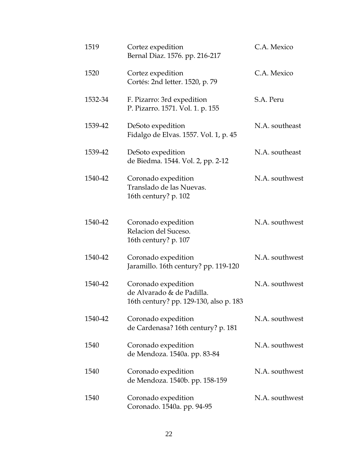| 1519    | Cortez expedition<br>Bernal Diaz. 1576. pp. 216-217                                        | C.A. Mexico    |
|---------|--------------------------------------------------------------------------------------------|----------------|
| 1520    | Cortez expedition<br>Cortés: 2nd letter. 1520, p. 79                                       | C.A. Mexico    |
| 1532-34 | F. Pizarro: 3rd expedition<br>P. Pizarro. 1571. Vol. 1. p. 155                             | S.A. Peru      |
| 1539-42 | DeSoto expedition<br>Fidalgo de Elvas. 1557. Vol. 1, p. 45                                 | N.A. southeast |
| 1539-42 | DeSoto expedition<br>de Biedma. 1544. Vol. 2, pp. 2-12                                     | N.A. southeast |
| 1540-42 | Coronado expedition<br>Translado de las Nuevas.<br>16th century? p. 102                    | N.A. southwest |
| 1540-42 | Coronado expedition<br>Relacion del Suceso.<br>16th century? p. 107                        | N.A. southwest |
| 1540-42 | Coronado expedition<br>Jaramillo. 16th century? pp. 119-120                                | N.A. southwest |
| 1540-42 | Coronado expedition<br>de Alvarado & de Padilla.<br>16th century? pp. 129-130, also p. 183 | N.A. southwest |
| 1540-42 | Coronado expedition<br>de Cardenasa? 16th century? p. 181                                  | N.A. southwest |
| 1540    | Coronado expedition<br>de Mendoza. 1540a. pp. 83-84                                        | N.A. southwest |
| 1540    | Coronado expedition<br>de Mendoza. 1540b. pp. 158-159                                      | N.A. southwest |
| 1540    | Coronado expedition<br>Coronado. 1540a. pp. 94-95                                          | N.A. southwest |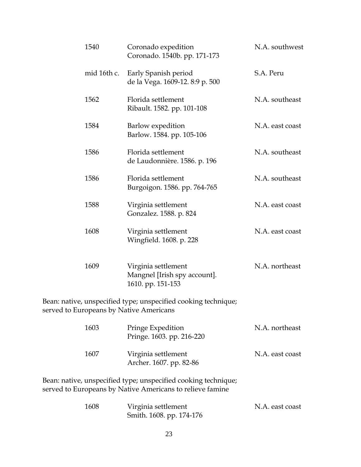| 1540                                    | Coronado expedition<br>Coronado. 1540b. pp. 171-173                                                                         | N.A. southwest  |
|-----------------------------------------|-----------------------------------------------------------------------------------------------------------------------------|-----------------|
| mid 16th c.                             | Early Spanish period<br>de la Vega. 1609-12. 8:9 p. 500                                                                     | S.A. Peru       |
| 1562                                    | Florida settlement<br>Ribault. 1582. pp. 101-108                                                                            | N.A. southeast  |
| 1584                                    | Barlow expedition<br>Barlow. 1584. pp. 105-106                                                                              | N.A. east coast |
| 1586                                    | Florida settlement<br>de Laudonnière. 1586. p. 196                                                                          | N.A. southeast  |
| 1586                                    | Florida settlement<br>Burgoigon. 1586. pp. 764-765                                                                          | N.A. southeast  |
| 1588                                    | Virginia settlement<br>Gonzalez. 1588. p. 824                                                                               | N.A. east coast |
| 1608                                    | Virginia settlement<br>Wingfield. 1608. p. 228                                                                              | N.A. east coast |
| 1609                                    | Virginia settlement<br>Mangnel [Irish spy account].<br>1610. pp. 151-153                                                    | N.A. northeast  |
| served to Europeans by Native Americans | Bean: native, unspecified type; unspecified cooking technique;                                                              |                 |
| 1603                                    | Pringe Expedition<br>Pringe. 1603. pp. 216-220                                                                              | N.A. northeast  |
| 1607                                    | Virginia settlement<br>Archer. 1607. pp. 82-86                                                                              | N.A. east coast |
|                                         | Bean: native, unspecified type; unspecified cooking technique;<br>served to Europeans by Native Americans to relieve famine |                 |
| 1608                                    | Virginia settlement<br>Smith. 1608. pp. 174-176                                                                             | N.A. east coast |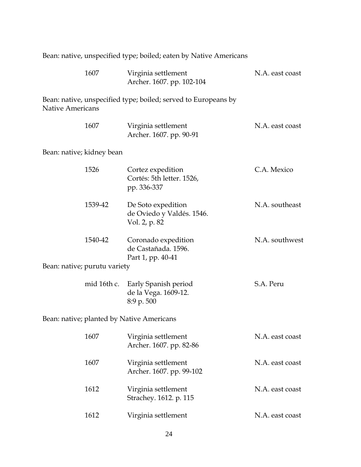| Bean: native, unspecified type; boiled; eaten by Native Americans |                              |                                                                  |                 |
|-------------------------------------------------------------------|------------------------------|------------------------------------------------------------------|-----------------|
|                                                                   | 1607                         | Virginia settlement<br>Archer. 1607. pp. 102-104                 | N.A. east coast |
| <b>Native Americans</b>                                           |                              | Bean: native, unspecified type; boiled; served to Europeans by   |                 |
|                                                                   | 1607                         | Virginia settlement<br>Archer. 1607. pp. 90-91                   | N.A. east coast |
| Bean: native; kidney bean                                         |                              |                                                                  |                 |
|                                                                   | 1526                         | Cortez expedition<br>Cortés: 5th letter. 1526,<br>pp. 336-337    | C.A. Mexico     |
|                                                                   | 1539-42                      | De Soto expedition<br>de Oviedo y Valdés. 1546.<br>Vol. 2, p. 82 | N.A. southeast  |
|                                                                   | 1540-42                      | Coronado expedition<br>de Castañada. 1596.<br>Part 1, pp. 40-41  | N.A. southwest  |
|                                                                   | Bean: native; purutu variety |                                                                  |                 |
|                                                                   | mid 16th c.                  | Early Spanish period<br>de la Vega. 1609-12.<br>8:9 p. 500       | S.A. Peru       |
|                                                                   |                              | Bean: native; planted by Native Americans                        |                 |
|                                                                   | 1607                         | Virginia settlement<br>Archer. 1607. pp. 82-86                   | N.A. east coast |
|                                                                   | 1607                         | Virginia settlement<br>Archer. 1607. pp. 99-102                  | N.A. east coast |
|                                                                   | 1612                         | Virginia settlement<br>Strachey. 1612. p. 115                    | N.A. east coast |
|                                                                   | 1612                         | Virginia settlement                                              | N.A. east coast |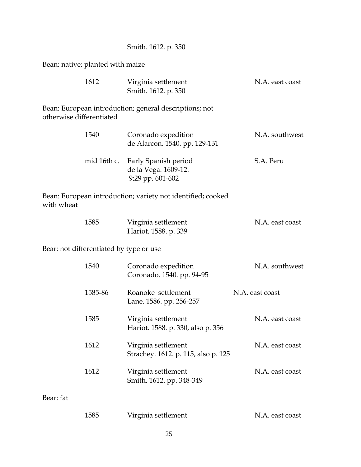Bean: native; planted with maize

|                          | 1612                                    | Virginia settlement<br>Smith. 1612. p. 350                       | N.A. east coast |
|--------------------------|-----------------------------------------|------------------------------------------------------------------|-----------------|
| otherwise differentiated |                                         | Bean: European introduction; general descriptions; not           |                 |
|                          | 1540                                    | Coronado expedition<br>de Alarcon. 1540. pp. 129-131             | N.A. southwest  |
|                          | mid 16th c.                             | Early Spanish period<br>de la Vega. 1609-12.<br>9:29 pp. 601-602 | S.A. Peru       |
| with wheat               |                                         | Bean: European introduction; variety not identified; cooked      |                 |
|                          | 1585                                    | Virginia settlement<br>Hariot. 1588. p. 339                      | N.A. east coast |
|                          | Bear: not differentiated by type or use |                                                                  |                 |
|                          | 1540                                    | Coronado expedition<br>Coronado. 1540. pp. 94-95                 | N.A. southwest  |
|                          | 1585-86                                 | Roanoke settlement<br>Lane. 1586. pp. 256-257                    | N.A. east coast |
|                          | 1585                                    | Virginia settlement<br>Hariot. 1588. p. 330, also p. 356         | N.A. east coast |
|                          | 1612                                    | Virginia settlement<br>Strachey. 1612. p. 115, also p. 125       | N.A. east coast |
|                          | 1612                                    | Virginia settlement<br>Smith. 1612. pp. 348-349                  | N.A. east coast |
| Bear: fat                |                                         |                                                                  |                 |

| 1585 | Virginia settlement | N.A. east coast |
|------|---------------------|-----------------|
|------|---------------------|-----------------|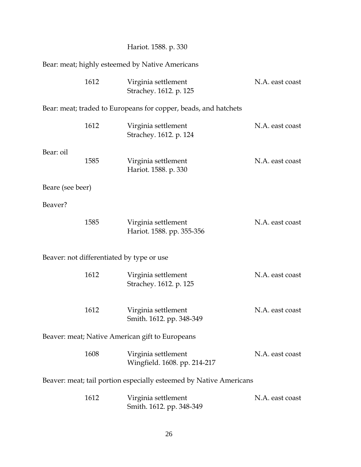|                                                                    |      | Hariot. 1588. p. 330                                            |                 |
|--------------------------------------------------------------------|------|-----------------------------------------------------------------|-----------------|
|                                                                    |      | Bear: meat; highly esteemed by Native Americans                 |                 |
|                                                                    | 1612 | Virginia settlement<br>Strachey. 1612. p. 125                   | N.A. east coast |
|                                                                    |      | Bear: meat; traded to Europeans for copper, beads, and hatchets |                 |
|                                                                    | 1612 | Virginia settlement<br>Strachey. 1612. p. 124                   | N.A. east coast |
| Bear: oil                                                          | 1585 | Virginia settlement<br>Hariot. 1588. p. 330                     | N.A. east coast |
| Beare (see beer)                                                   |      |                                                                 |                 |
| Beaver?                                                            |      |                                                                 |                 |
|                                                                    | 1585 | Virginia settlement<br>Hariot. 1588. pp. 355-356                | N.A. east coast |
|                                                                    |      | Beaver: not differentiated by type or use                       |                 |
|                                                                    | 1612 | Virginia settlement<br>Strachey. 1612. p. 125                   | N.A. east coast |
|                                                                    | 1612 | Virginia settlement<br>Smith. 1612. pp. 348-349                 | N.A. east coast |
|                                                                    |      | Beaver: meat; Native American gift to Europeans                 |                 |
|                                                                    | 1608 | Virginia settlement<br>Wingfield. 1608. pp. 214-217             | N.A. east coast |
| Beaver: meat; tail portion especially esteemed by Native Americans |      |                                                                 |                 |
|                                                                    | 1612 | Virginia settlement<br>Smith. 1612. pp. 348-349                 | N.A. east coast |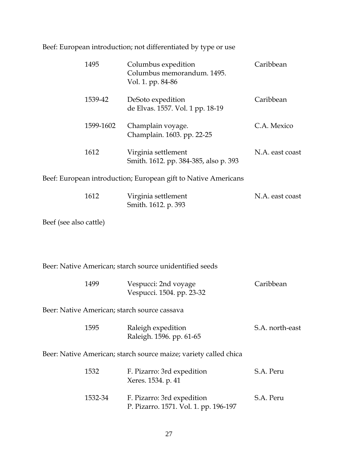Beef: European introduction; not differentiated by type or use

| 1495      | Columbus expedition<br>Columbus memorandum, 1495.<br>Vol. 1. pp. 84-86 | Caribbean       |
|-----------|------------------------------------------------------------------------|-----------------|
| 1539-42   | DeSoto expedition<br>de Elvas. 1557. Vol. 1 pp. 18-19                  | Caribbean       |
| 1599-1602 | Champlain voyage.<br>Champlain. 1603. pp. 22-25                        | C.A. Mexico     |
| 1612      | Virginia settlement<br>Smith. 1612. pp. 384-385, also p. 393           | N.A. east coast |

Beef: European introduction; European gift to Native Americans

| 1612 | Virginia settlement | N.A. east coast |
|------|---------------------|-----------------|
|      | Smith. 1612. p. 393 |                 |

Beef (see also cattle)

Beer: Native American; starch source unidentified seeds

| 1499 | Vespucci: 2nd voyage      | Caribbean |
|------|---------------------------|-----------|
|      | Vespucci. 1504. pp. 23-32 |           |

Beer: Native American; starch source cassava

| 1595 | Raleigh expedition       | S.A. north-east |
|------|--------------------------|-----------------|
|      | Raleigh. 1596. pp. 61-65 |                 |

Beer: Native American; starch source maize; variety called chica

| 1532    | F. Pizarro: 3rd expedition<br>Xeres. 1534. p. 41                    | S.A. Peru |
|---------|---------------------------------------------------------------------|-----------|
| 1532-34 | F. Pizarro: 3rd expedition<br>P. Pizarro. 1571. Vol. 1. pp. 196-197 | S.A. Peru |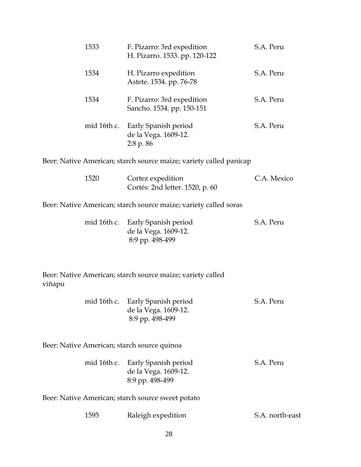|        | 1533        | F. Pizarro: 3rd expedition<br>H. Pizarro. 1533. pp. 120-122                 | S.A. Peru       |
|--------|-------------|-----------------------------------------------------------------------------|-----------------|
|        | 1534        | H. Pizarro expedition<br>Astete. 1534. pp. 76-78                            | S.A. Peru       |
|        | 1534        | F. Pizarro: 3rd expedition<br>Sancho. 1534. pp. 150-151                     | S.A. Peru       |
|        | mid 16th c. | Early Spanish period<br>de la Vega. 1609-12.<br>2:8 p. 86                   | S.A. Peru       |
|        |             | Beer: Native American; starch source maize; variety called panicap          |                 |
|        | 1520        | Cortez expedition<br>Cortés: 2nd letter. 1520, p. 60                        | C.A. Mexico     |
|        |             | Beer: Native American; starch source maize; variety called soras            |                 |
|        |             | mid 16th c. Early Spanish period<br>de la Vega. 1609-12.<br>8:9 pp. 498-499 | S.A. Peru       |
| viñapu |             | Beer: Native American; starch source maize; variety called                  |                 |
|        | mid 16th c. | Early Spanish period<br>de la Vega. 1609-12.<br>8:9 pp. 498-499             | S.A. Peru       |
|        |             | Beer: Native American; starch source quinoa                                 |                 |
|        | mid 16th c. | Early Spanish period<br>de la Vega. 1609-12.<br>8:9 pp. 498-499             | S.A. Peru       |
|        |             | Beer: Native American; starch source sweet potato                           |                 |
|        | 1595        | Raleigh expedition                                                          | S.A. north-east |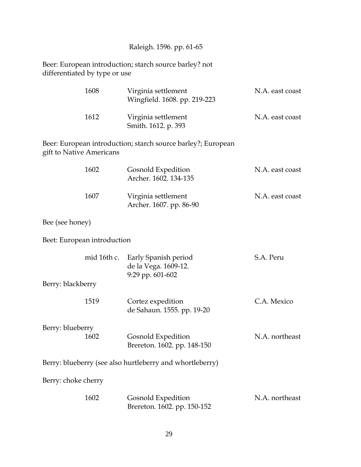# Raleigh. 1596. pp. 61-65

Beer: European introduction; starch source barley? not differentiated by type or use

|                          | 1608                        | Virginia settlement<br>Wingfield. 1608. pp. 219-223              | N.A. east coast |
|--------------------------|-----------------------------|------------------------------------------------------------------|-----------------|
|                          | 1612                        | Virginia settlement<br>Smith. 1612. p. 393                       | N.A. east coast |
| gift to Native Americans |                             | Beer: European introduction; starch source barley?; European     |                 |
|                          | 1602                        | Gosnold Expedition<br>Archer. 1602. 134-135                      | N.A. east coast |
|                          | 1607                        | Virginia settlement<br>Archer. 1607. pp. 86-90                   | N.A. east coast |
| Bee (see honey)          |                             |                                                                  |                 |
|                          | Beet: European introduction |                                                                  |                 |
|                          | mid 16th c.                 | Early Spanish period<br>de la Vega. 1609-12.<br>9:29 pp. 601-602 | S.A. Peru       |
| Berry: blackberry        |                             |                                                                  |                 |
|                          | 1519                        | Cortez expedition<br>de Sahaun. 1555. pp. 19-20                  | C.A. Mexico     |
| Berry: blueberry         | 1602                        | Gosnold Expedition<br>Brereton. 1602. pp. 148-150                | N.A. northeast  |
|                          |                             | Berry: blueberry (see also hurtleberry and whortleberry)         |                 |
| Berry: choke cherry      |                             |                                                                  |                 |
|                          | 1602                        | Gosnold Expedition<br>Brereton. 1602. pp. 150-152                | N.A. northeast  |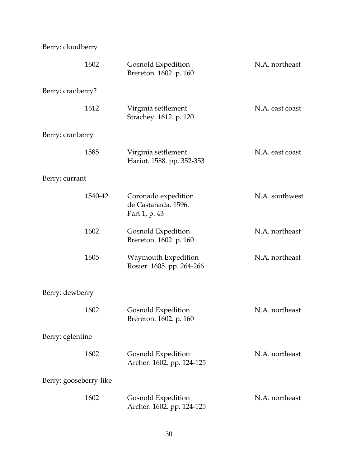Berry: cloudberry

|                        | 1602    | Gosnold Expedition<br>Brereton. 1602. p. 160                | N.A. northeast  |
|------------------------|---------|-------------------------------------------------------------|-----------------|
| Berry: cranberry?      |         |                                                             |                 |
|                        | 1612    | Virginia settlement<br>Strachey. 1612. p. 120               | N.A. east coast |
| Berry: cranberry       |         |                                                             |                 |
|                        | 1585    | Virginia settlement<br>Hariot. 1588. pp. 352-353            | N.A. east coast |
| Berry: currant         |         |                                                             |                 |
|                        | 1540-42 | Coronado expedition<br>de Castañada. 1596.<br>Part 1, p. 43 | N.A. southwest  |
|                        | 1602    | Gosnold Expedition<br>Brereton. 1602. p. 160                | N.A. northeast  |
|                        | 1605    | Waymouth Expedition<br>Rosier. 1605. pp. 264-266            | N.A. northeast  |
| Berry: dewberry        |         |                                                             |                 |
|                        | 1602    | Gosnold Expedition<br>Brereton. 1602. p. 160                | N.A. northeast  |
| Berry: eglentine       |         |                                                             |                 |
|                        | 1602    | Gosnold Expedition<br>Archer. 1602. pp. 124-125             | N.A. northeast  |
| Berry: gooseberry-like |         |                                                             |                 |
|                        | 1602    | Gosnold Expedition<br>Archer. 1602. pp. 124-125             | N.A. northeast  |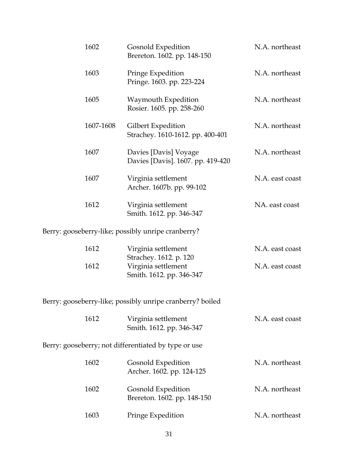| 1602      | Gosnold Expedition<br>Brereton. 1602. pp. 148-150          | N.A. northeast  |
|-----------|------------------------------------------------------------|-----------------|
| 1603      | Pringe Expedition<br>Pringe. 1603. pp. 223-224             | N.A. northeast  |
| 1605      | Waymouth Expedition<br>Rosier. 1605. pp. 258-260           | N.A. northeast  |
| 1607-1608 | Gilbert Expedition<br>Strachey. 1610-1612. pp. 400-401     | N.A. northeast  |
| 1607      | Davies [Davis] Voyage<br>Davies [Davis]. 1607. pp. 419-420 | N.A. northeast  |
| 1607      | Virginia settlement<br>Archer. 1607b. pp. 99-102           | N.A. east coast |
| 1612      | Virginia settlement<br>Smith. 1612. pp. 346-347            | NA. east coast  |
|           | Berry: gooseberry-like; possibly unripe cranberry?         |                 |
| 1612      | Virginia settlement<br>Strachey. 1612. p. 120              | N.A. east coast |
| 1612      | Virginia settlement<br>Smith. 1612. pp. 346-347            | N.A. east coast |
|           | Berry: gooseberry-like; possibly unripe cranberry? boiled  |                 |
| 1612      | Virginia settlement<br>Smith. 1612. pp. 346-347            | N.A. east coast |
|           | Berry: gooseberry; not differentiated by type or use       |                 |
| 1602      | Gosnold Expedition<br>Archer. 1602. pp. 124-125            | N.A. northeast  |
| 1602      | Gosnold Expedition<br>Brereton. 1602. pp. 148-150          | N.A. northeast  |
| 1603      | Pringe Expedition                                          | N.A. northeast  |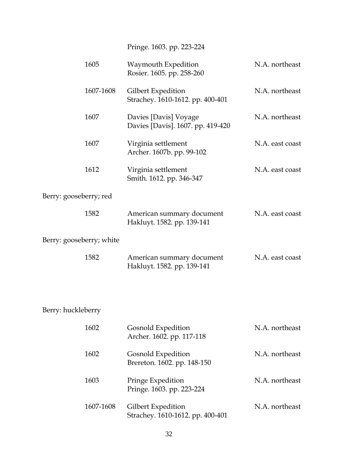Pringe. 1603. pp. 223-224

| 1605                     | Waymouth Expedition<br>Rosier. 1605. pp. 258-260           | N.A. northeast  |
|--------------------------|------------------------------------------------------------|-----------------|
| 1607-1608                | Gilbert Expedition<br>Strachey. 1610-1612. pp. 400-401     | N.A. northeast  |
| 1607                     | Davies [Davis] Voyage<br>Davies [Davis]. 1607. pp. 419-420 | N.A. northeast  |
| 1607                     | Virginia settlement<br>Archer. 1607b. pp. 99-102           | N.A. east coast |
| 1612                     | Virginia settlement<br>Smith. 1612. pp. 346-347            | N.A. east coast |
| Berry: gooseberry; red   |                                                            |                 |
| 1582                     | American summary document<br>Hakluyt. 1582. pp. 139-141    | N.A. east coast |
| Berry: gooseberry; white |                                                            |                 |
| 1582                     | American summary document<br>Hakluyt. 1582. pp. 139-141    | N.A. east coast |
|                          |                                                            |                 |
| Berry: huckleberry       |                                                            |                 |
| 1602                     | Gosnold Expedition<br>Archer. 1602. pp. 117-118            | N.A. northeast  |

| 1602      | Gosnold Expedition<br>Brereton. 1602. pp. 148-150      | N.A. northeast |
|-----------|--------------------------------------------------------|----------------|
| 1603      | Pringe Expedition<br>Pringe. 1603. pp. 223-224         | N.A. northeast |
| 1607-1608 | Gilbert Expedition<br>Strachey. 1610-1612. pp. 400-401 | N.A. northeast |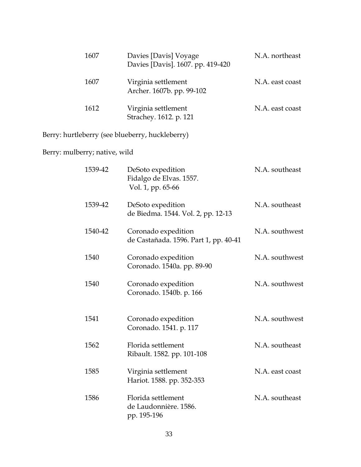| 1607                          |                                                 | Davies [Davis] Voyage<br>N.A. northeast<br>Davies [Davis]. 1607. pp. 419-420 |
|-------------------------------|-------------------------------------------------|------------------------------------------------------------------------------|
| 1607                          |                                                 | Virginia settlement<br>N.A. east coast<br>Archer. 1607b. pp. 99-102          |
| 1612                          |                                                 | Virginia settlement<br>N.A. east coast<br>Strachey. 1612. p. 121             |
|                               | Berry: hurtleberry (see blueberry, huckleberry) |                                                                              |
| Berry: mulberry; native, wild |                                                 |                                                                              |

| 1539-42 | DeSoto expedition<br>Fidalgo de Elvas. 1557.<br>Vol. 1, pp. 65-66 | N.A. southeast  |
|---------|-------------------------------------------------------------------|-----------------|
| 1539-42 | DeSoto expedition<br>de Biedma. 1544. Vol. 2, pp. 12-13           | N.A. southeast  |
| 1540-42 | Coronado expedition<br>de Castañada. 1596. Part 1, pp. 40-41      | N.A. southwest  |
| 1540    | Coronado expedition<br>Coronado. 1540a. pp. 89-90                 | N.A. southwest  |
| 1540    | Coronado expedition<br>Coronado. 1540b. p. 166                    | N.A. southwest  |
| 1541    | Coronado expedition<br>Coronado. 1541. p. 117                     | N.A. southwest  |
| 1562    | Florida settlement<br>Ribault. 1582. pp. 101-108                  | N.A. southeast  |
| 1585    | Virginia settlement<br>Hariot. 1588. pp. 352-353                  | N.A. east coast |
| 1586    | Florida settlement<br>de Laudonnière. 1586.<br>pp. 195-196        | N.A. southeast  |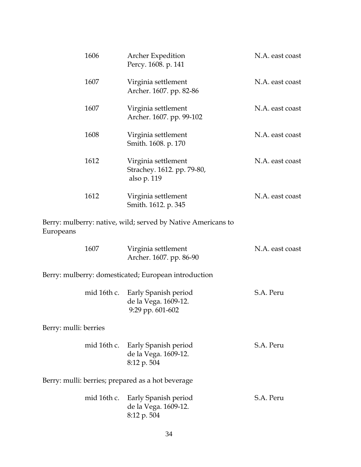| 1606                  |             | <b>Archer Expedition</b><br>Percy. 1608. p. 141                         | N.A. east coast |
|-----------------------|-------------|-------------------------------------------------------------------------|-----------------|
| 1607                  |             | Virginia settlement<br>Archer. 1607. pp. 82-86                          | N.A. east coast |
| 1607                  |             | Virginia settlement<br>Archer. 1607. pp. 99-102                         | N.A. east coast |
| 1608                  |             | Virginia settlement<br>Smith. 1608. p. 170                              | N.A. east coast |
| 1612                  |             | Virginia settlement<br>Strachey. 1612. pp. 79-80,<br>also p. 119        | N.A. east coast |
| 1612                  |             | Virginia settlement<br>Smith. 1612. p. 345                              | N.A. east coast |
| Europeans             |             | Berry: mulberry: native, wild; served by Native Americans to            |                 |
| 1607                  |             | Virginia settlement<br>Archer. 1607. pp. 86-90                          | N.A. east coast |
|                       |             | Berry: mulberry: domesticated; European introduction                    |                 |
|                       | mid 16th c. | Early Spanish period<br>de la Vega. 1609-12.<br>9:29 pp. 601-602        | S.A. Peru       |
| Berry: mulli: berries |             |                                                                         |                 |
|                       |             | mid 16th c. Early Spanish period<br>de la Vega. 1609-12.<br>8:12 p. 504 | S.A. Peru       |
|                       |             | Berry: mulli: berries; prepared as a hot beverage                       |                 |
|                       |             | mid 16th c. Early Spanish period<br>de la Vega. 1609-12.<br>8:12 p. 504 | S.A. Peru       |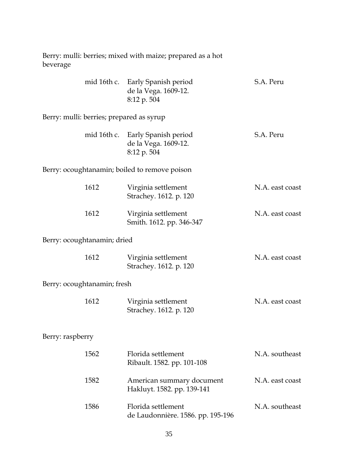Berry: mulli: berries; mixed with maize; prepared as a hot beverage

|                                          |             | mid 16th c. Early Spanish period<br>de la Vega. 1609-12.<br>8:12 p. 504 | S.A. Peru       |
|------------------------------------------|-------------|-------------------------------------------------------------------------|-----------------|
| Berry: mulli: berries; prepared as syrup |             |                                                                         |                 |
|                                          | mid 16th c. | Early Spanish period<br>de la Vega. 1609-12.<br>8:12 p. 504             | S.A. Peru       |
|                                          |             | Berry: ocoughtanamin; boiled to remove poison                           |                 |
|                                          | 1612        | Virginia settlement<br>Strachey. 1612. p. 120                           | N.A. east coast |
|                                          | 1612        | Virginia settlement<br>Smith. 1612. pp. 346-347                         | N.A. east coast |
| Berry: ocoughtanamin; dried              |             |                                                                         |                 |
|                                          | 1612        | Virginia settlement<br>Strachey. 1612. p. 120                           | N.A. east coast |
| Berry: ocoughtanamin; fresh              |             |                                                                         |                 |
|                                          | 1612        | Virginia settlement<br>Strachey. 1612. p. 120                           | N.A. east coast |
| Berry: raspberry                         |             |                                                                         |                 |
|                                          | 1562        | Florida settlement<br>Ribault. 1582. pp. 101-108                        | N.A. southeast  |
|                                          | 1582        | American summary document<br>Hakluyt. 1582. pp. 139-141                 | N.A. east coast |
|                                          | 1586        | Florida settlement                                                      | N.A. southeast  |

de Laudonnière. 1586. pp. 195-196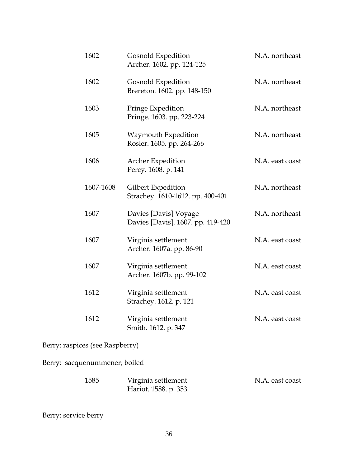| 1602      | <b>Gosnold Expedition</b><br>Archer. 1602. pp. 124-125     | N.A. northeast  |
|-----------|------------------------------------------------------------|-----------------|
| 1602      | Gosnold Expedition<br>Brereton. 1602. pp. 148-150          | N.A. northeast  |
| 1603      | Pringe Expedition<br>Pringe. 1603. pp. 223-224             | N.A. northeast  |
| 1605      | Waymouth Expedition<br>Rosier. 1605. pp. 264-266           | N.A. northeast  |
| 1606      | Archer Expedition<br>Percy. 1608. p. 141                   | N.A. east coast |
| 1607-1608 | Gilbert Expedition<br>Strachey. 1610-1612. pp. 400-401     | N.A. northeast  |
| 1607      | Davies [Davis] Voyage<br>Davies [Davis]. 1607. pp. 419-420 | N.A. northeast  |
| 1607      | Virginia settlement<br>Archer. 1607a. pp. 86-90            | N.A. east coast |
| 1607      | Virginia settlement<br>Archer. 1607b. pp. 99-102           | N.A. east coast |
| 1612      | Virginia settlement<br>Strachey. 1612. p. 121              | N.A. east coast |
| 1612      | Virginia settlement<br>Smith. 1612. p. 347                 | N.A. east coast |

Berry: raspices (see Raspberry)

Berry: sacquenummener; boiled

| 1585 | Virginia settlement  | N.A. east coast |
|------|----------------------|-----------------|
|      | Hariot. 1588. p. 353 |                 |

# Berry: service berry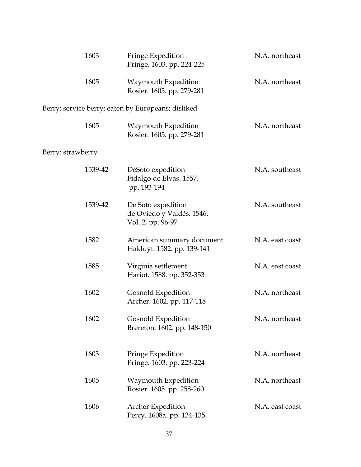|                   | 1603    | Pringe Expedition<br>Pringe. 1603. pp. 224-225                       | N.A. northeast  |
|-------------------|---------|----------------------------------------------------------------------|-----------------|
|                   | 1605    | Waymouth Expedition<br>Rosier. 1605. pp. 279-281                     | N.A. northeast  |
|                   |         | Berry: service berry; eaten by Europeans; disliked                   |                 |
|                   | 1605    | Waymouth Expedition<br>Rosier. 1605. pp. 279-281                     | N.A. northeast  |
| Berry: strawberry |         |                                                                      |                 |
|                   | 1539-42 | DeSoto expedition<br>Fidalgo de Elvas. 1557.<br>pp. 193-194          | N.A. southeast  |
|                   | 1539-42 | De Soto expedition<br>de Oviedo y Valdés. 1546.<br>Vol. 2, pp. 96-97 | N.A. southeast  |
|                   | 1582    | American summary document<br>Hakluyt. 1582. pp. 139-141              | N.A. east coast |
|                   | 1585    | Virginia settlement<br>Hariot. 1588. pp. 352-353                     | N.A. east coast |
|                   | 1602    | Gosnold Expedition<br>Archer. 1602. pp. 117-118                      | N.A. northeast  |
|                   | 1602    | Gosnold Expedition<br>Brereton. 1602. pp. 148-150                    | N.A. northeast  |
|                   | 1603    | Pringe Expedition<br>Pringe. 1603. pp. 223-224                       | N.A. northeast  |
|                   | 1605    | Waymouth Expedition<br>Rosier. 1605. pp. 258-260                     | N.A. northeast  |
|                   | 1606    | <b>Archer Expedition</b><br>Percy. 1608a. pp. 134-135                | N.A. east coast |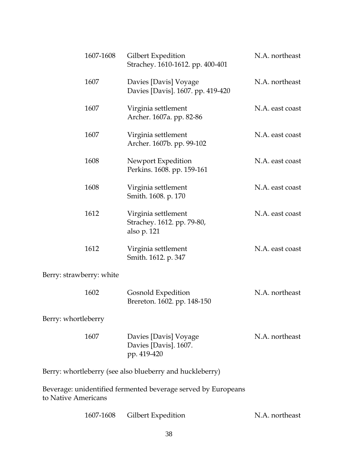| 1607-1608                | Gilbert Expedition<br>Strachey. 1610-1612. pp. 400-401           | N.A. northeast  |
|--------------------------|------------------------------------------------------------------|-----------------|
| 1607                     | Davies [Davis] Voyage<br>Davies [Davis]. 1607. pp. 419-420       | N.A. northeast  |
| 1607                     | Virginia settlement<br>Archer. 1607a. pp. 82-86                  | N.A. east coast |
| 1607                     | Virginia settlement<br>Archer. 1607b. pp. 99-102                 | N.A. east coast |
| 1608                     | Newport Expedition<br>Perkins. 1608. pp. 159-161                 | N.A. east coast |
| 1608                     | Virginia settlement<br>Smith. 1608. p. 170                       | N.A. east coast |
| 1612                     | Virginia settlement<br>Strachey. 1612. pp. 79-80,<br>also p. 121 | N.A. east coast |
| 1612                     | Virginia settlement<br>Smith. 1612. p. 347                       | N.A. east coast |
| Berry: strawberry: white |                                                                  |                 |

| 1602 | Gosnold Expedition          | N.A. northeast |
|------|-----------------------------|----------------|
|      | Brereton. 1602. pp. 148-150 |                |

Berry: whortleberry

| 1607 | Davies [Davis] Voyage | N.A. northeast |
|------|-----------------------|----------------|
|      | Davies [Davis]. 1607. |                |
|      | pp. 419-420           |                |

Berry: whortleberry (see also blueberry and huckleberry)

Beverage: unidentified fermented beverage served by Europeans to Native Americans

| 1607-1608 | <b>Gilbert Expedition</b> | N.A. northeast |
|-----------|---------------------------|----------------|
|-----------|---------------------------|----------------|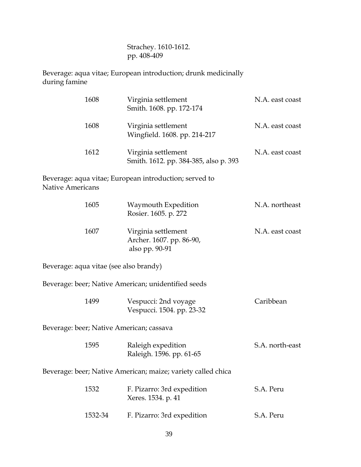Strachey. 1610-1612. pp. 408-409

Beverage: aqua vitae; European introduction; drunk medicinally during famine

| 1608                                   | Virginia settlement<br>Smith. 1608. pp. 172-174                   | N.A. east coast |
|----------------------------------------|-------------------------------------------------------------------|-----------------|
| 1608                                   | Virginia settlement<br>Wingfield. 1608. pp. 214-217               | N.A. east coast |
| 1612                                   | Virginia settlement<br>Smith. 1612. pp. 384-385, also p. 393      | N.A. east coast |
| <b>Native Americans</b>                | Beverage: aqua vitae; European introduction; served to            |                 |
| 1605                                   | Waymouth Expedition<br>Rosier. 1605. p. 272                       | N.A. northeast  |
| 1607                                   | Virginia settlement<br>Archer. 1607. pp. 86-90,<br>also pp. 90-91 | N.A. east coast |
| Beverage: aqua vitae (see also brandy) |                                                                   |                 |
|                                        | Beverage: beer; Native American; unidentified seeds               |                 |
| 1499                                   | Vespucci: 2nd voyage<br>Vespucci. 1504. pp. 23-32                 | Caribbean       |
|                                        | Beverage: beer; Native American; cassava                          |                 |
| 1595                                   | Raleigh expedition<br>Raleigh. 1596. pp. 61-65                    | S.A. north-east |
|                                        | Beverage: beer; Native American; maize; variety called chica      |                 |
| 1532                                   | F. Pizarro: 3rd expedition<br>Xeres. 1534. p. 41                  | S.A. Peru       |
| 1532-34                                | F. Pizarro: 3rd expedition                                        | S.A. Peru       |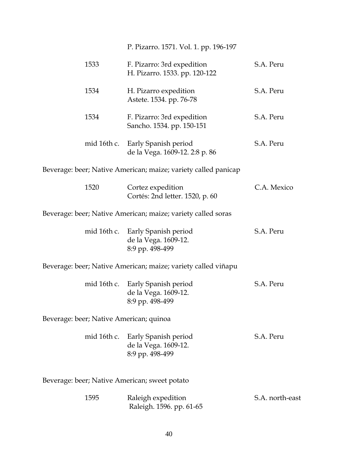P. Pizarro. 1571. Vol. 1. pp. 196-197

| 1533                                                         | F. Pizarro: 3rd expedition<br>H. Pizarro. 1533. pp. 120-122                 | S.A. Peru       |  |  |
|--------------------------------------------------------------|-----------------------------------------------------------------------------|-----------------|--|--|
| 1534                                                         | H. Pizarro expedition<br>Astete. 1534. pp. 76-78                            | S.A. Peru       |  |  |
| 1534                                                         | F. Pizarro: 3rd expedition<br>Sancho. 1534. pp. 150-151                     | S.A. Peru       |  |  |
| mid 16th c.                                                  | Early Spanish period<br>de la Vega. 1609-12. 2:8 p. 86                      | S.A. Peru       |  |  |
|                                                              | Beverage: beer; Native American; maize; variety called panicap              |                 |  |  |
| 1520                                                         | Cortez expedition<br>Cortés: 2nd letter. 1520, p. 60                        | C.A. Mexico     |  |  |
| Beverage: beer; Native American; maize; variety called soras |                                                                             |                 |  |  |
|                                                              | mid 16th c. Early Spanish period<br>de la Vega. 1609-12.<br>8:9 pp. 498-499 | S.A. Peru       |  |  |
|                                                              | Beverage: beer; Native American; maize; variety called viñapu               |                 |  |  |
|                                                              | mid 16th c. Early Spanish period<br>de la Vega. 1609-12.<br>8:9 pp. 498-499 | S.A. Peru       |  |  |
| Beverage: beer; Native American; quinoa                      |                                                                             |                 |  |  |
| mid 16th c.                                                  | Early Spanish period<br>de la Vega. 1609-12.<br>8:9 pp. 498-499             | S.A. Peru       |  |  |
| Beverage: beer; Native American; sweet potato                |                                                                             |                 |  |  |
| 1595                                                         | Raleigh expedition<br>Raleigh. 1596. pp. 61-65                              | S.A. north-east |  |  |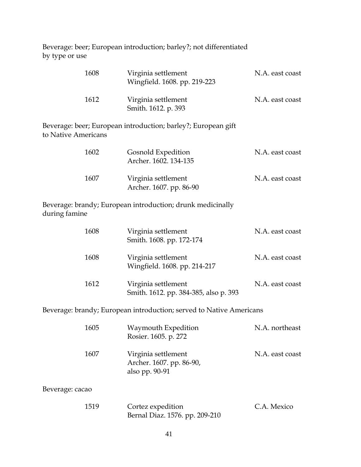Beverage: beer; European introduction; barley?; not differentiated by type or use

| 1608                | Virginia settlement<br>Wingfield. 1608. pp. 219-223           | N.A. east coast |
|---------------------|---------------------------------------------------------------|-----------------|
| 1612                | Virginia settlement<br>Smith. 1612. p. 393                    | N.A. east coast |
| to Native Americans | Beverage: beer; European introduction; barley?; European gift |                 |
| 1602                | Gosnold Expedition<br>Archer. 1602. 134-135                   | N.A. east coast |
| 1607                | Virginia settlement<br>Archer. 1607. pp. 86-90                | N.A. east coast |
| during famine       | Beverage: brandy; European introduction; drunk medicinally    |                 |

| 1608 | Virginia settlement<br>Smith. 1608. pp. 172-174                                | N.A. east coast |
|------|--------------------------------------------------------------------------------|-----------------|
| 1608 | Virginia settlement<br>Wingfield. 1608. pp. 214-217                            | N.A. east coast |
| 1612 | Virginia settlement<br>Smith. 1612. pp. 384-385, also p. 393                   | N.A. east coast |
|      | Derrege on bann den Eugeneem in tan durchiere engere d. to Matiere Agencyissen |                 |

Beverage: brandy; European introduction; served to Native Americans

| 1605 | Waymouth Expedition<br>Rosier. 1605. p. 272                       | N.A. northeast  |
|------|-------------------------------------------------------------------|-----------------|
| 1607 | Virginia settlement<br>Archer. 1607. pp. 86-90,<br>also pp. 90-91 | N.A. east coast |

Beverage: cacao

| 1519 | Cortez expedition              | C.A. Mexico |
|------|--------------------------------|-------------|
|      | Bernal Diaz. 1576. pp. 209-210 |             |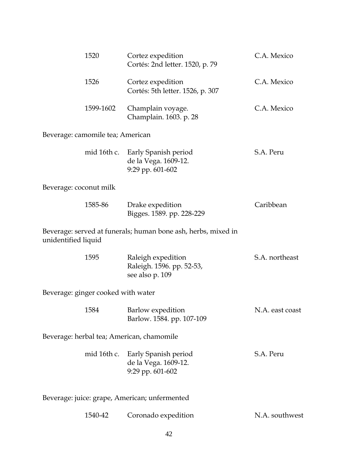|                        | 1520                               | Cortez expedition<br>Cortés: 2nd letter. 1520, p. 79                         | C.A. Mexico     |
|------------------------|------------------------------------|------------------------------------------------------------------------------|-----------------|
|                        | 1526                               | Cortez expedition<br>Cortés: 5th letter. 1526, p. 307                        | C.A. Mexico     |
|                        | 1599-1602                          | Champlain voyage.<br>Champlain. 1603. p. 28                                  | C.A. Mexico     |
|                        | Beverage: camomile tea; American   |                                                                              |                 |
|                        |                                    | mid 16th c. Early Spanish period<br>de la Vega. 1609-12.<br>9:29 pp. 601-602 | S.A. Peru       |
| Beverage: coconut milk |                                    |                                                                              |                 |
|                        | 1585-86                            | Drake expedition<br>Bigges. 1589. pp. 228-229                                | Caribbean       |
| unidentified liquid    |                                    | Beverage: served at funerals; human bone ash, herbs, mixed in                |                 |
|                        | 1595                               | Raleigh expedition<br>Raleigh. 1596. pp. 52-53,<br>see also p. 109           | S.A. northeast  |
|                        | Beverage: ginger cooked with water |                                                                              |                 |
|                        | 1584                               | Barlow expedition<br>Barlow. 1584. pp. 107-109                               | N.A. east coast |
|                        |                                    | Beverage: herbal tea; American, chamomile                                    |                 |
|                        |                                    | mid 16th c. Early Spanish period<br>de la Vega. 1609-12.<br>9:29 pp. 601-602 | S.A. Peru       |
|                        |                                    | Beverage: juice: grape, American; unfermented                                |                 |
|                        | 1540-42                            | Coronado expedition                                                          | N.A. southwest  |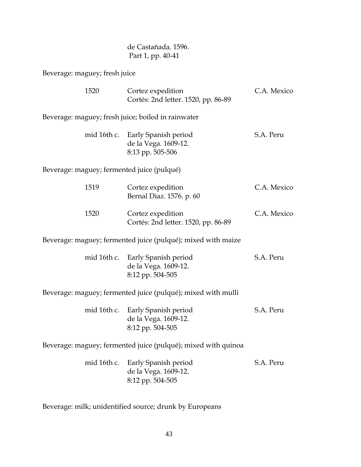### de Castañada. 1596. Part 1, pp. 40-41

Beverage: maguey; fresh juice

| 1520        | Cortez expedition<br>Cortés: 2nd letter. 1520, pp. 86-89                     | C.A. Mexico |
|-------------|------------------------------------------------------------------------------|-------------|
|             | Beverage: maguey; fresh juice; boiled in rainwater                           |             |
| mid 16th c. | Early Spanish period<br>de la Vega. 1609-12.<br>8:13 pp. 505-506             | S.A. Peru   |
|             | Beverage: maguey; fermented juice (pulqué)                                   |             |
| 1519        | Cortez expedition<br>Bernal Diaz. 1576. p. 60                                | C.A. Mexico |
| 1520        | Cortez expedition<br>Cortés: 2nd letter. 1520, pp. 86-89                     | C.A. Mexico |
|             | Beverage: maguey; fermented juice (pulqué); mixed with maize                 |             |
| mid 16th c. | Early Spanish period<br>de la Vega. 1609-12.<br>8:12 pp. 504-505             | S.A. Peru   |
|             | Beverage: maguey; fermented juice (pulqué); mixed with mulli                 |             |
|             | mid 16th c. Early Spanish period<br>de la Vega. 1609-12.<br>8:12 pp. 504-505 | S.A. Peru   |
|             | Beverage: maguey; fermented juice (pulqué); mixed with quinoa                |             |
| mid 16th c. | Early Spanish period<br>de la Vega. 1609-12.<br>8:12 pp. 504-505             | S.A. Peru   |

Beverage: milk; unidentified source; drunk by Europeans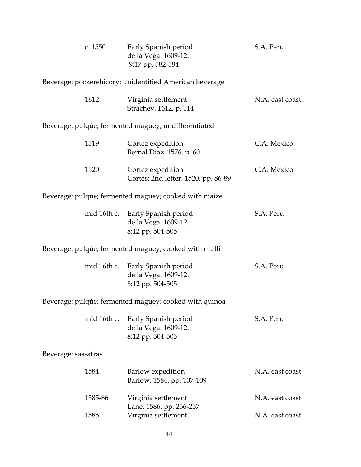| c. 1550             |             | Early Spanish period<br>de la Vega. 1609-12.<br>9:17 pp. 582-584             | S.A. Peru       |
|---------------------|-------------|------------------------------------------------------------------------------|-----------------|
|                     |             | Beverage: pockerehicory; unidentified American beverage                      |                 |
| 1612                |             | Virginia settlement<br>Strachey. 1612. p. 114                                | N.A. east coast |
|                     |             | Beverage: pulqúe; fermented maguey; undifferentiated                         |                 |
| 1519                |             | Cortez expedition<br>Bernal Diaz. 1576. p. 60                                | C.A. Mexico     |
| 1520                |             | Cortez expedition<br>Cortés: 2nd letter. 1520, pp. 86-89                     | C.A. Mexico     |
|                     |             | Beverage: pulqúe; fermented maguey; cooked with maize                        |                 |
|                     | mid 16th c. | Early Spanish period<br>de la Vega. 1609-12.<br>8:12 pp. 504-505             | S.A. Peru       |
|                     |             | Beverage: pulqúe; fermented maguey; cooked with mulli                        |                 |
|                     |             | mid 16th c. Early Spanish period<br>de la Vega. 1609-12.<br>8:12 pp. 504-505 | S.A. Peru       |
|                     |             | Beverage: pulqúe; fermented maguey; cooked with quinoa                       |                 |
|                     | mid 16th c. | Early Spanish period<br>de la Vega. 1609-12.<br>8:12 pp. 504-505             | S.A. Peru       |
| Beverage: sassafras |             |                                                                              |                 |
| 1584                |             | Barlow expedition<br>Barlow. 1584. pp. 107-109                               | N.A. east coast |
| 1585-86             |             | Virginia settlement                                                          | N.A. east coast |
| 1585                |             | Lane. 1586. pp. 256-257<br>Virginia settlement                               | N.A. east coast |
|                     |             |                                                                              |                 |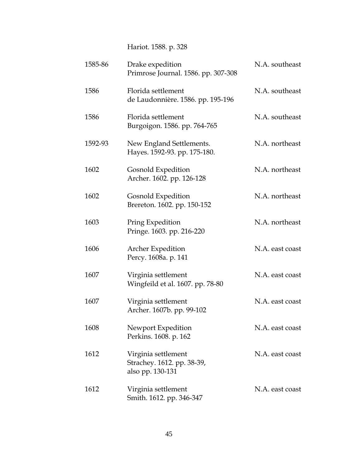Hariot. 1588. p. 328

| 1585-86 | Drake expedition<br>Primrose Journal. 1586. pp. 307-308               | N.A. southeast  |
|---------|-----------------------------------------------------------------------|-----------------|
| 1586    | Florida settlement<br>de Laudonnière. 1586. pp. 195-196               | N.A. southeast  |
| 1586    | Florida settlement<br>Burgoigon. 1586. pp. 764-765                    | N.A. southeast  |
| 1592-93 | New England Settlements.<br>Hayes. 1592-93. pp. 175-180.              | N.A. northeast  |
| 1602    | Gosnold Expedition<br>Archer. 1602. pp. 126-128                       | N.A. northeast  |
| 1602    | Gosnold Expedition<br>Brereton. 1602. pp. 150-152                     | N.A. northeast  |
| 1603    | Pring Expedition<br>Pringe. 1603. pp. 216-220                         | N.A. northeast  |
| 1606    | <b>Archer Expedition</b><br>Percy. 1608a. p. 141                      | N.A. east coast |
| 1607    | Virginia settlement<br>Wingfeild et al. 1607. pp. 78-80               | N.A. east coast |
| 1607    | Virginia settlement<br>Archer. 1607b. pp. 99-102                      | N.A. east coast |
| 1608    | Newport Expedition<br>Perkins. 1608. p. 162                           | N.A. east coast |
| 1612    | Virginia settlement<br>Strachey. 1612. pp. 38-39,<br>also pp. 130-131 | N.A. east coast |
| 1612    | Virginia settlement<br>Smith. 1612. pp. 346-347                       | N.A. east coast |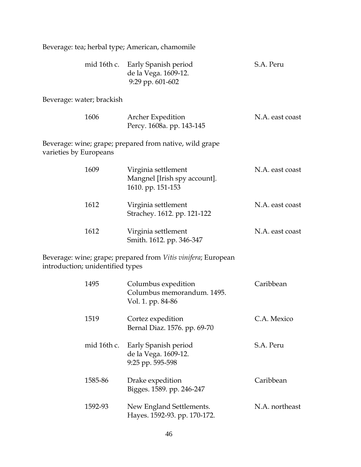| Beverage: tea; herbal type; American, chamomile |                                                                              |                 |
|-------------------------------------------------|------------------------------------------------------------------------------|-----------------|
|                                                 | mid 16th c. Early Spanish period<br>de la Vega. 1609-12.<br>9:29 pp. 601-602 | S.A. Peru       |
| Beverage: water; brackish                       |                                                                              |                 |
| 1606                                            | <b>Archer Expedition</b><br>Percy. 1608a. pp. 143-145                        | N.A. east coast |
| varieties by Europeans                          | Beverage: wine; grape; prepared from native, wild grape                      |                 |
| 1609                                            | Virginia settlement<br>Mangnel [Irish spy account].<br>1610. pp. 151-153     | N.A. east coast |
| 1612                                            | Virginia settlement<br>Strachey. 1612. pp. 121-122                           | N.A. east coast |
| 1612                                            | Virginia settlement<br>Smith. 1612. pp. 346-347                              | N.A. east coast |
| introduction; unidentified types                | Beverage: wine; grape; prepared from Vitis vinifera; European                |                 |
| 1495                                            | Columbus expedition<br>Columbus memorandum. 1495.<br>Vol. 1. pp. 84-86       | Caribbean       |
| 1519                                            | Cortez expedition<br>Bernal Diaz. 1576. pp. 69-70                            | C.A. Mexico     |
| mid 16th c.                                     | Early Spanish period<br>de la Vega. 1609-12.<br>9:25 pp. 595-598             | S.A. Peru       |
| 1585-86                                         | Drake expedition<br>Bigges. 1589. pp. 246-247                                | Caribbean       |
| 1592-93                                         | New England Settlements.<br>Hayes. 1592-93. pp. 170-172.                     | N.A. northeast  |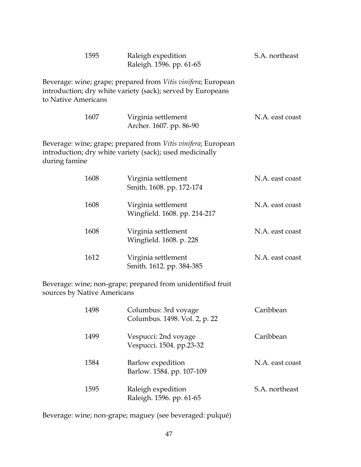|                     | 1595                        | Raleigh expedition<br>Raleigh. 1596. pp. 61-65                                                                               | S.A. northeast  |
|---------------------|-----------------------------|------------------------------------------------------------------------------------------------------------------------------|-----------------|
| to Native Americans |                             | Beverage: wine; grape; prepared from Vitis vinifera; European<br>introduction; dry white variety (sack); served by Europeans |                 |
|                     | 1607                        | Virginia settlement<br>Archer. 1607. pp. 86-90                                                                               | N.A. east coast |
| during famine       |                             | Beverage: wine; grape; prepared from Vitis vinifera; European<br>introduction; dry white variety (sack); used medicinally    |                 |
|                     | 1608                        | Virginia settlement<br>Smith. 1608. pp. 172-174                                                                              | N.A. east coast |
|                     | 1608                        | Virginia settlement<br>Wingfield. 1608. pp. 214-217                                                                          | N.A. east coast |
|                     | 1608                        | Virginia settlement<br>Wingfield. 1608. p. 228                                                                               | N.A. east coast |
|                     | 1612                        | Virginia settlement<br>Smith. 1612. pp. 384-385                                                                              | N.A. east coast |
|                     | sources by Native Americans | Beverage: wine; non-grape; prepared from unidentified fruit                                                                  |                 |
|                     | 1498                        | Columbus: 3rd voyage<br>Columbus. 1498. Vol. 2, p. 22                                                                        | Caribbean       |
|                     | 1499                        | Vespucci: 2nd voyage<br>Vespucci. 1504. pp.23-32                                                                             | Caribbean       |
|                     | 1584                        | Barlow expedition<br>Barlow. 1584. pp. 107-109                                                                               | N.A. east coast |
|                     | 1595                        | Raleigh expedition<br>Raleigh. 1596. pp. 61-65                                                                               | S.A. northeast  |

Beverage: wine; non-grape; maguey (see beveraged: pulqué)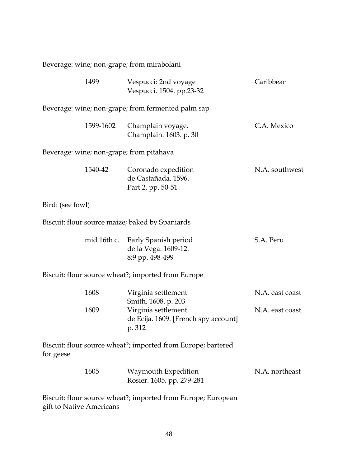Beverage: wine; non-grape; from mirabolani

|                          | 1499        | Vespucci: 2nd voyage<br>Vespucci. 1504. pp.23-32                      | Caribbean       |
|--------------------------|-------------|-----------------------------------------------------------------------|-----------------|
|                          |             | Beverage: wine; non-grape; from fermented palm sap                    |                 |
|                          | 1599-1602   | Champlain voyage.<br>Champlain. 1603. p. 30                           | C.A. Mexico     |
|                          |             | Beverage: wine; non-grape; from pitahaya                              |                 |
|                          | 1540-42     | Coronado expedition<br>de Castañada. 1596.<br>Part 2, pp. 50-51       | N.A. southwest  |
| Bird: (see fowl)         |             |                                                                       |                 |
|                          |             | Biscuit: flour source maize; baked by Spaniards                       |                 |
|                          | mid 16th c. | Early Spanish period<br>de la Vega. 1609-12.<br>8:9 pp. 498-499       | S.A. Peru       |
|                          |             | Biscuit: flour source wheat?; imported from Europe                    |                 |
|                          | 1608        | Virginia settlement<br>Smith. 1608. p. 203                            | N.A. east coast |
|                          | 1609        | Virginia settlement<br>de Ecija. 1609. [French spy account]<br>p. 312 | N.A. east coast |
| for geese                |             | Biscuit: flour source wheat?; imported from Europe; bartered          |                 |
|                          | 1605        | Waymouth Expedition<br>Rosier. 1605. pp. 279-281                      | N.A. northeast  |
| gift to Native Americans |             | Biscuit: flour source wheat?; imported from Europe; European          |                 |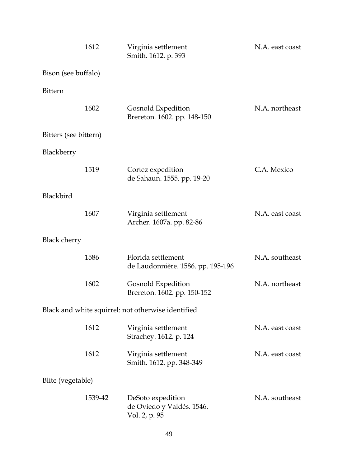|                       | 1612    | Virginia settlement<br>Smith. 1612. p. 393                      | N.A. east coast |  |
|-----------------------|---------|-----------------------------------------------------------------|-----------------|--|
| Bison (see buffalo)   |         |                                                                 |                 |  |
| <b>Bittern</b>        |         |                                                                 |                 |  |
|                       | 1602    | Gosnold Expedition<br>Brereton. 1602. pp. 148-150               | N.A. northeast  |  |
| Bitters (see bittern) |         |                                                                 |                 |  |
| Blackberry            |         |                                                                 |                 |  |
|                       | 1519    | Cortez expedition<br>de Sahaun. 1555. pp. 19-20                 | C.A. Mexico     |  |
| Blackbird             |         |                                                                 |                 |  |
|                       | 1607    | Virginia settlement<br>Archer. 1607a. pp. 82-86                 | N.A. east coast |  |
| <b>Black cherry</b>   |         |                                                                 |                 |  |
|                       | 1586    | Florida settlement<br>de Laudonnière. 1586. pp. 195-196         | N.A. southeast  |  |
|                       | 1602    | Gosnold Expedition<br>Brereton. 1602. pp. 150-152               | N.A. northeast  |  |
|                       |         | Black and white squirrel: not otherwise identified              |                 |  |
|                       | 1612    | Virginia settlement<br>Strachey. 1612. p. 124                   | N.A. east coast |  |
|                       | 1612    | Virginia settlement<br>Smith. 1612. pp. 348-349                 | N.A. east coast |  |
| Blite (vegetable)     |         |                                                                 |                 |  |
|                       | 1539-42 | DeSoto expedition<br>de Oviedo y Valdés. 1546.<br>Vol. 2, p. 95 | N.A. southeast  |  |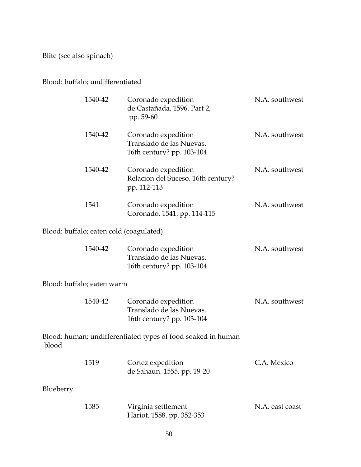Blite (see also spinach)

### Blood: buffalo; undifferentiated

|           | 1540-42                                 | Coronado expedition<br>de Castañada. 1596. Part 2,<br>pp. 59-60              | N.A. southwest |
|-----------|-----------------------------------------|------------------------------------------------------------------------------|----------------|
|           | 1540-42                                 | Coronado expedition<br>Translado de las Nuevas.<br>16th century? pp. 103-104 | N.A. southwest |
|           | 1540-42                                 | Coronado expedition<br>Relacion del Suceso. 16th century?<br>pp. 112-113     | N.A. southwest |
|           | 1541                                    | Coronado expedition<br>Coronado. 1541. pp. 114-115                           | N.A. southwest |
|           | Blood: buffalo; eaten cold (coagulated) |                                                                              |                |
|           | 1540-42                                 | Coronado expedition<br>Translado de las Nuevas.<br>16th century? pp. 103-104 | N.A. southwest |
|           | Blood: buffalo; eaten warm              |                                                                              |                |
|           | 1540-42                                 | Coronado expedition<br>Translado de las Nuevas.<br>16th century? pp. 103-104 | N.A. southwest |
| blood     |                                         | Blood: human; undifferentiated types of food soaked in human                 |                |
|           | 1519                                    | Cortez expedition<br>de Sahaun. 1555. pp. 19-20                              | C.A. Mexico    |
| Blueberry |                                         |                                                                              |                |

| 1585 | Virginia settlement       | N.A. east coast |
|------|---------------------------|-----------------|
|      | Hariot. 1588. pp. 352-353 |                 |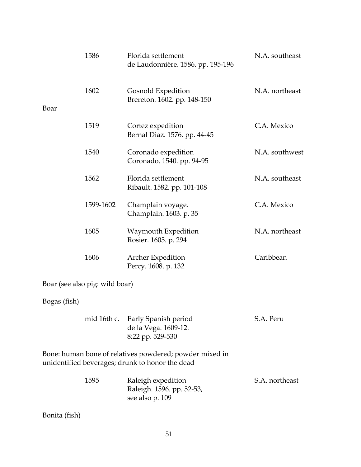|               | 1586                           | Florida settlement<br>de Laudonnière. 1586. pp. 195-196                                                    | N.A. southeast |
|---------------|--------------------------------|------------------------------------------------------------------------------------------------------------|----------------|
| Boar          | 1602                           | Gosnold Expedition<br>Brereton. 1602. pp. 148-150                                                          | N.A. northeast |
|               |                                |                                                                                                            |                |
|               | 1519                           | Cortez expedition<br>Bernal Diaz. 1576. pp. 44-45                                                          | C.A. Mexico    |
|               | 1540                           | Coronado expedition<br>Coronado. 1540. pp. 94-95                                                           | N.A. southwest |
|               | 1562                           | Florida settlement<br>Ribault. 1582. pp. 101-108                                                           | N.A. southeast |
|               | 1599-1602                      | Champlain voyage.<br>Champlain. 1603. p. 35                                                                | C.A. Mexico    |
|               | 1605                           | Waymouth Expedition<br>Rosier. 1605. p. 294                                                                | N.A. northeast |
|               | 1606                           | <b>Archer Expedition</b><br>Percy. 1608. p. 132                                                            | Caribbean      |
|               | Boar (see also pig: wild boar) |                                                                                                            |                |
| Bogas (fish)  |                                |                                                                                                            |                |
|               |                                | mid 16th c. Early Spanish period<br>de la Vega. 1609-12.<br>8:22 pp. 529-530                               | S.A. Peru      |
|               |                                | Bone: human bone of relatives powdered; powder mixed in<br>unidentified beverages; drunk to honor the dead |                |
|               | 1595                           | Raleigh expedition<br>Raleigh. 1596. pp. 52-53,<br>see also p. 109                                         | S.A. northeast |
| Bonita (fish) |                                |                                                                                                            |                |

Bonita (fish)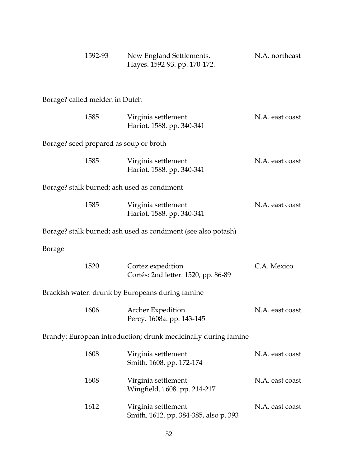|               | 1592-93                        | New England Settlements.<br>Hayes. 1592-93. pp. 170-172.       | N.A. northeast  |
|---------------|--------------------------------|----------------------------------------------------------------|-----------------|
|               | Borage? called melden in Dutch |                                                                |                 |
|               | 1585                           | Virginia settlement<br>Hariot. 1588. pp. 340-341               | N.A. east coast |
|               |                                | Borage? seed prepared as soup or broth                         |                 |
|               | 1585                           | Virginia settlement<br>Hariot. 1588. pp. 340-341               | N.A. east coast |
|               |                                | Borage? stalk burned; ash used as condiment                    |                 |
|               | 1585                           | Virginia settlement<br>Hariot. 1588. pp. 340-341               | N.A. east coast |
|               |                                | Borage? stalk burned; ash used as condiment (see also potash)  |                 |
| <b>Borage</b> |                                |                                                                |                 |
|               | 1520                           | Cortez expedition<br>Cortés: 2nd letter. 1520, pp. 86-89       | C.A. Mexico     |
|               |                                | Brackish water: drunk by Europeans during famine               |                 |
|               | 1606                           | <b>Archer Expedition</b><br>Percy. 1608a. pp. 143-145          | N.A. east coast |
|               |                                | Brandy: European introduction; drunk medicinally during famine |                 |
|               | 1608                           | Virginia settlement<br>Smith. 1608. pp. 172-174                | N.A. east coast |
|               | 1608                           | Virginia settlement<br>Wingfield. 1608. pp. 214-217            | N.A. east coast |
|               | 1612                           | Virginia settlement<br>Smith. 1612. pp. 384-385, also p. 393   | N.A. east coast |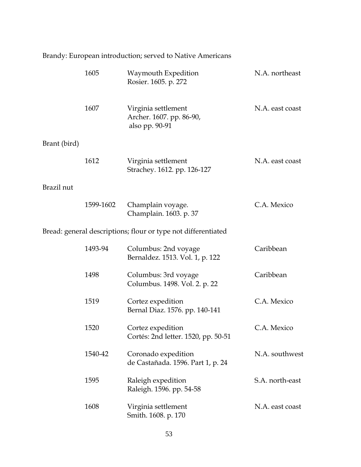|              | 1605      | Waymouth Expedition<br>Rosier. 1605. p. 272                       | N.A. northeast  |
|--------------|-----------|-------------------------------------------------------------------|-----------------|
|              | 1607      | Virginia settlement<br>Archer. 1607. pp. 86-90,<br>also pp. 90-91 | N.A. east coast |
| Brant (bird) |           |                                                                   |                 |
|              | 1612      | Virginia settlement<br>Strachey. 1612. pp. 126-127                | N.A. east coast |
| Brazil nut   |           |                                                                   |                 |
|              | 1599-1602 | Champlain voyage.<br>Champlain. 1603. p. 37                       | C.A. Mexico     |
|              |           | Bread: general descriptions; flour or type not differentiated     |                 |
|              | 1493-94   | Columbus: 2nd voyage<br>Bernaldez. 1513. Vol. 1, p. 122           | Caribbean       |
|              | 1498      | Columbus: 3rd voyage<br>Columbus. 1498. Vol. 2. p. 22             | Caribbean       |
|              | 1519      | Cortez expedition<br>Bernal Diaz. 1576. pp. 140-141               | C.A. Mexico     |
|              | 1520      | Cortez expedition<br>Cortés: 2nd letter. 1520, pp. 50-51          | C.A. Mexico     |
|              | 1540-42   | Coronado expedition<br>de Castañada. 1596. Part 1, p. 24          | N.A. southwest  |
|              | 1595      | Raleigh expedition<br>Raleigh. 1596. pp. 54-58                    | S.A. north-east |
|              | 1608      | Virginia settlement<br>Smith. 1608. p. 170                        | N.A. east coast |

## Brandy: European introduction; served to Native Americans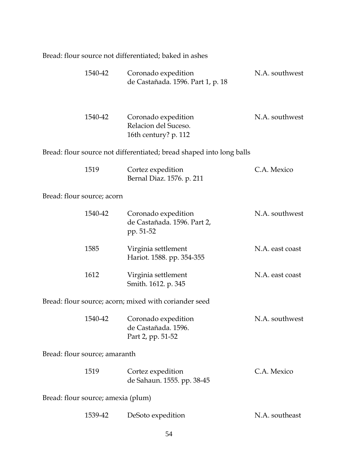| Bread: flour source not differentiated; baked in ashes |                                    |                                                                      |                 |  |  |
|--------------------------------------------------------|------------------------------------|----------------------------------------------------------------------|-----------------|--|--|
|                                                        | 1540-42                            | Coronado expedition<br>de Castañada. 1596. Part 1, p. 18             | N.A. southwest  |  |  |
|                                                        | 1540-42                            | Coronado expedition<br>Relacion del Suceso.<br>16th century? p. 112  | N.A. southwest  |  |  |
|                                                        |                                    | Bread: flour source not differentiated; bread shaped into long balls |                 |  |  |
|                                                        | 1519                               | Cortez expedition<br>Bernal Diaz. 1576. p. 211                       | C.A. Mexico     |  |  |
| Bread: flour source; acorn                             |                                    |                                                                      |                 |  |  |
|                                                        | 1540-42                            | Coronado expedition<br>de Castañada. 1596. Part 2,<br>pp. 51-52      | N.A. southwest  |  |  |
|                                                        | 1585                               | Virginia settlement<br>Hariot. 1588. pp. 354-355                     | N.A. east coast |  |  |
|                                                        | 1612                               | Virginia settlement<br>Smith. 1612. p. 345                           | N.A. east coast |  |  |
|                                                        |                                    | Bread: flour source; acorn; mixed with coriander seed                |                 |  |  |
|                                                        | 1540-42                            | Coronado expedition<br>de Castañada. 1596.<br>Part 2, pp. 51-52      | N.A. southwest  |  |  |
| Bread: flour source; amaranth                          |                                    |                                                                      |                 |  |  |
|                                                        | 1519                               | Cortez expedition<br>de Sahaun. 1555. pp. 38-45                      | C.A. Mexico     |  |  |
|                                                        | Bread: flour source; amexia (plum) |                                                                      |                 |  |  |
|                                                        | 1539-42                            | DeSoto expedition                                                    | N.A. southeast  |  |  |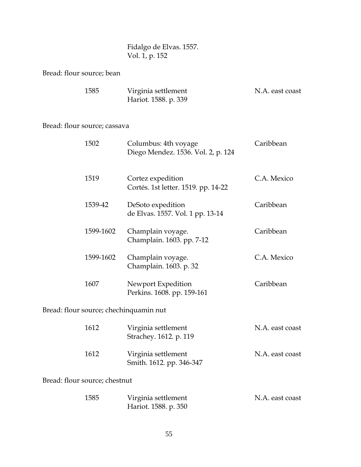Fidalgo de Elvas. 1557. Vol. 1, p. 152

Bread: flour source; bean

| 1585 | Virginia settlement  | N.A. east coast |
|------|----------------------|-----------------|
|      | Hariot. 1588. p. 339 |                 |

### Bread: flour source; cassava

| 1502      | Columbus: 4th voyage<br>Diego Mendez. 1536. Vol. 2, p. 124 | Caribbean       |
|-----------|------------------------------------------------------------|-----------------|
| 1519      | Cortez expedition<br>Cortés. 1st letter. 1519. pp. 14-22   | C.A. Mexico     |
| 1539-42   | DeSoto expedition<br>de Elvas. 1557. Vol. 1 pp. 13-14      | Caribbean       |
| 1599-1602 | Champlain voyage.<br>Champlain. 1603. pp. 7-12             | Caribbean       |
| 1599-1602 | Champlain voyage.<br>Champlain. 1603. p. 32                | C.A. Mexico     |
| 1607      | Newport Expedition<br>Perkins. 1608. pp. 159-161           | Caribbean       |
|           | Bread: flour source; chechinquamin nut                     |                 |
| 1612      | Virginia settlement<br>Strachey. 1612. p. 119              | N.A. east coast |
| 1612      | Virginia settlement<br>Smith. 1612. pp. 346-347            | N.A. east coast |
|           |                                                            |                 |

Bread: flour source; chestnut

| 1585 | Virginia settlement  | N.A. east coast |
|------|----------------------|-----------------|
|      | Hariot. 1588. p. 350 |                 |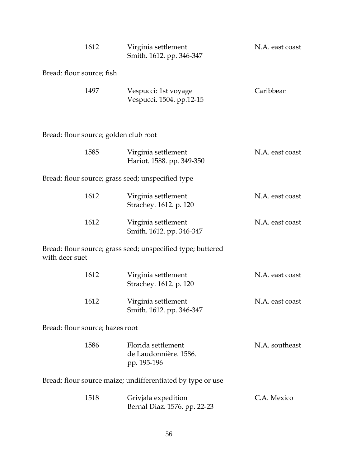|                                                            | 1612 | Virginia settlement<br>Smith. 1612. pp. 346-347             | N.A. east coast |
|------------------------------------------------------------|------|-------------------------------------------------------------|-----------------|
| Bread: flour source; fish                                  |      |                                                             |                 |
|                                                            | 1497 | Vespucci: 1st voyage<br>Vespucci. 1504. pp.12-15            | Caribbean       |
| Bread: flour source; golden club root                      |      |                                                             |                 |
|                                                            | 1585 | Virginia settlement<br>Hariot. 1588. pp. 349-350            | N.A. east coast |
|                                                            |      | Bread: flour source; grass seed; unspecified type           |                 |
|                                                            | 1612 | Virginia settlement<br>Strachey. 1612. p. 120               | N.A. east coast |
|                                                            | 1612 | Virginia settlement<br>Smith. 1612. pp. 346-347             | N.A. east coast |
| with deer suet                                             |      | Bread: flour source; grass seed; unspecified type; buttered |                 |
|                                                            | 1612 | Virginia settlement<br>Strachey. 1612. p. 120               | N.A. east coast |
|                                                            | 1612 | Virginia settlement<br>Smith. 1612. pp. 346-347             | N.A. east coast |
| Bread: flour source; hazes root                            |      |                                                             |                 |
|                                                            | 1586 | Florida settlement<br>de Laudonnière. 1586.<br>pp. 195-196  | N.A. southeast  |
| Bread: flour source maize; undifferentiated by type or use |      |                                                             |                 |
|                                                            | 1518 | Grivjala expedition<br>Bernal Diaz. 1576. pp. 22-23         | C.A. Mexico     |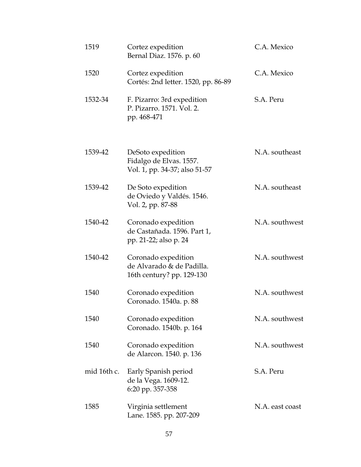| 1519        | Cortez expedition<br>Bernal Diaz. 1576. p. 60                                 | C.A. Mexico     |
|-------------|-------------------------------------------------------------------------------|-----------------|
| 1520        | Cortez expedition<br>Cortés: 2nd letter. 1520, pp. 86-89                      | C.A. Mexico     |
| 1532-34     | F. Pizarro: 3rd expedition<br>P. Pizarro. 1571. Vol. 2.<br>pp. 468-471        | S.A. Peru       |
| 1539-42     | DeSoto expedition<br>Fidalgo de Elvas. 1557.<br>Vol. 1, pp. 34-37; also 51-57 | N.A. southeast  |
| 1539-42     | De Soto expedition<br>de Oviedo y Valdés. 1546.<br>Vol. 2, pp. 87-88          | N.A. southeast  |
| 1540-42     | Coronado expedition<br>de Castañada. 1596. Part 1,<br>pp. 21-22; also p. 24   | N.A. southwest  |
| 1540-42     | Coronado expedition<br>de Alvarado & de Padilla.<br>16th century? pp. 129-130 | N.A. southwest  |
| 1540        | Coronado expedition<br>Coronado. 1540a. p. 88                                 | N.A. southwest  |
| 1540        | Coronado expedition<br>Coronado. 1540b. p. 164                                | N.A. southwest  |
| 1540        | Coronado expedition<br>de Alarcon. 1540. p. 136                               | N.A. southwest  |
| mid 16th c. | Early Spanish period<br>de la Vega. 1609-12.<br>6:20 pp. 357-358              | S.A. Peru       |
| 1585        | Virginia settlement<br>Lane. 1585. pp. 207-209                                | N.A. east coast |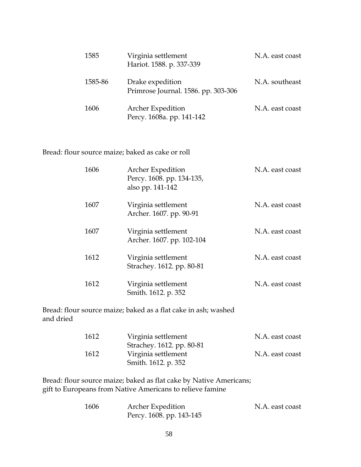| 1585    | Virginia settlement<br>Hariot. 1588. p. 337-339         | N.A. east coast |
|---------|---------------------------------------------------------|-----------------|
| 1585-86 | Drake expedition<br>Primrose Journal. 1586. pp. 303-306 | N.A. southeast  |
| 1606    | <b>Archer Expedition</b><br>Percy. 1608a. pp. 141-142   | N.A. east coast |

Bread: flour source maize; baked as cake or roll

| 1606 | <b>Archer Expedition</b><br>Percy. 1608. pp. 134-135,<br>also pp. 141-142 | N.A. east coast |
|------|---------------------------------------------------------------------------|-----------------|
| 1607 | Virginia settlement<br>Archer. 1607. pp. 90-91                            | N.A. east coast |
| 1607 | Virginia settlement<br>Archer. 1607. pp. 102-104                          | N.A. east coast |
| 1612 | Virginia settlement<br>Strachey. 1612. pp. 80-81                          | N.A. east coast |
| 1612 | Virginia settlement<br>Smith. 1612. p. 352                                | N.A. east coast |

Bread: flour source maize; baked as a flat cake in ash; washed and dried

| 1612 | Virginia settlement       | N.A. east coast |
|------|---------------------------|-----------------|
|      | Strachey. 1612. pp. 80-81 |                 |
| 1612 | Virginia settlement       | N.A. east coast |
|      | Smith. 1612. p. 352       |                 |

Bread: flour source maize; baked as flat cake by Native Americans; gift to Europeans from Native Americans to relieve famine

| 1606 | <b>Archer Expedition</b> | N.A. east coast |
|------|--------------------------|-----------------|
|      | Percy. 1608. pp. 143-145 |                 |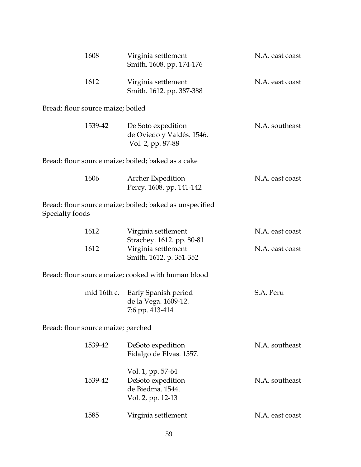| 1608                                                                       | Virginia settlement<br>Smith. 1608. pp. 174-176                                 | N.A. east coast |  |
|----------------------------------------------------------------------------|---------------------------------------------------------------------------------|-----------------|--|
| 1612                                                                       | Virginia settlement<br>Smith. 1612. pp. 387-388                                 | N.A. east coast |  |
| Bread: flour source maize; boiled                                          |                                                                                 |                 |  |
| 1539-42                                                                    | De Soto expedition<br>de Oviedo y Valdés. 1546.<br>Vol. 2, pp. 87-88            | N.A. southeast  |  |
| Bread: flour source maize; boiled; baked as a cake                         |                                                                                 |                 |  |
| 1606                                                                       | <b>Archer Expedition</b><br>Percy. 1608. pp. 141-142                            | N.A. east coast |  |
| Bread: flour source maize; boiled; baked as unspecified<br>Specialty foods |                                                                                 |                 |  |
| 1612                                                                       | Virginia settlement                                                             | N.A. east coast |  |
| 1612                                                                       | Strachey. 1612. pp. 80-81<br>Virginia settlement<br>Smith. 1612. p. 351-352     | N.A. east coast |  |
|                                                                            | Bread: flour source maize; cooked with human blood                              |                 |  |
| mid 16th c.                                                                | Early Spanish period<br>de la Vega. 1609-12.<br>7:6 pp. 413-414                 | S.A. Peru       |  |
| Bread: flour source maize; parched                                         |                                                                                 |                 |  |
| 1539-42                                                                    | DeSoto expedition<br>Fidalgo de Elvas. 1557.                                    | N.A. southeast  |  |
| 1539-42                                                                    | Vol. 1, pp. 57-64<br>DeSoto expedition<br>de Biedma. 1544.<br>Vol. 2, pp. 12-13 | N.A. southeast  |  |
| 1585                                                                       | Virginia settlement                                                             | N.A. east coast |  |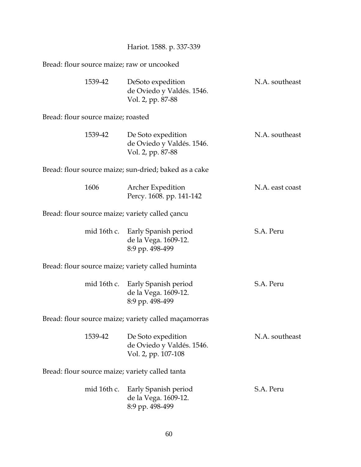Bread: flour source maize; raw or uncooked

| 1539-42                                           | DeSoto expedition<br>de Oviedo y Valdés. 1546.<br>Vol. 2, pp. 87-88         | N.A. southeast  |
|---------------------------------------------------|-----------------------------------------------------------------------------|-----------------|
| Bread: flour source maize; roasted                |                                                                             |                 |
| 1539-42                                           | De Soto expedition<br>de Oviedo y Valdés. 1546.<br>Vol. 2, pp. 87-88        | N.A. southeast  |
|                                                   | Bread: flour source maize; sun-dried; baked as a cake                       |                 |
| 1606                                              | <b>Archer Expedition</b><br>Percy. 1608. pp. 141-142                        | N.A. east coast |
| Bread: flour source maize; variety called cancu   |                                                                             |                 |
|                                                   | mid 16th c. Early Spanish period<br>de la Vega. 1609-12.<br>8:9 pp. 498-499 | S.A. Peru       |
| Bread: flour source maize; variety called huminta |                                                                             |                 |
| mid 16th c.                                       | Early Spanish period<br>de la Vega. 1609-12.<br>8:9 pp. 498-499             | S.A. Peru       |
|                                                   | Bread: flour source maize; variety called maçamorras                        |                 |
| 1539-42                                           | De Soto expedition<br>de Oviedo y Valdés. 1546.<br>Vol. 2, pp. 107-108      | N.A. southeast  |
| Bread: flour source maize; variety called tanta   |                                                                             |                 |
| mid 16th c.                                       | Early Spanish period<br>de la Vega. 1609-12.<br>8:9 pp. 498-499             | S.A. Peru       |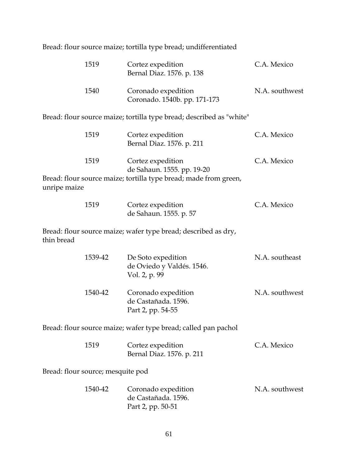Bread: flour source maize; tortilla type bread; undifferentiated

| 1519                              | Cortez expedition<br>Bernal Diaz. 1576. p. 138                       | C.A. Mexico    |
|-----------------------------------|----------------------------------------------------------------------|----------------|
| 1540                              | Coronado expedition<br>Coronado. 1540b. pp. 171-173                  | N.A. southwest |
|                                   | Bread: flour source maize; tortilla type bread; described as "white" |                |
| 1519                              | Cortez expedition<br>Bernal Diaz. 1576. p. 211                       | C.A. Mexico    |
| 1519                              | Cortez expedition<br>de Sahaun. 1555. pp. 19-20                      | C.A. Mexico    |
| unripe maize                      | Bread: flour source maize; tortilla type bread; made from green,     |                |
| 1519                              | Cortez expedition<br>de Sahaun. 1555. p. 57                          | C.A. Mexico    |
| thin bread                        | Bread: flour source maize; wafer type bread; described as dry,       |                |
| 1539-42                           | De Soto expedition<br>de Oviedo y Valdés. 1546.<br>Vol. 2, p. 99     | N.A. southeast |
| 1540-42                           | Coronado expedition<br>de Castañada. 1596.<br>Part 2, pp. 54-55      | N.A. southwest |
|                                   | Bread: flour source maize; wafer type bread; called pan pachol       |                |
| 1519                              | Cortez expedition<br>Bernal Diaz. 1576. p. 211                       | C.A. Mexico    |
| Bread: flour source; mesquite pod |                                                                      |                |
| 1540-42                           | Coronado expedition<br>de Castañada. 1596.<br>Part 2, pp. 50-51      | N.A. southwest |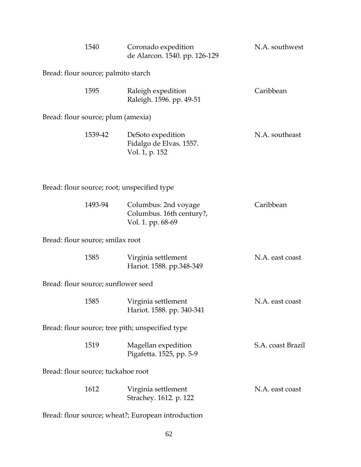| 1540                                               | Coronado expedition<br>de Alarcon. 1540. pp. 126-129                  | N.A. southwest    |
|----------------------------------------------------|-----------------------------------------------------------------------|-------------------|
| Bread: flour source; palmito starch                |                                                                       |                   |
| 1595                                               | Raleigh expedition<br>Raleigh. 1596. pp. 49-51                        | Caribbean         |
| Bread: flour source; plum (amexia)                 |                                                                       |                   |
| 1539-42                                            | DeSoto expedition<br>Fidalgo de Elvas. 1557.<br>Vol. 1, p. 152        | N.A. southeast    |
| Bread: flour source; root; unspecified type        |                                                                       |                   |
| 1493-94                                            | Columbus: 2nd voyage<br>Columbus. 16th century?,<br>Vol. 1. pp. 68-69 | Caribbean         |
| Bread: flour source; smilax root                   |                                                                       |                   |
| 1585                                               | Virginia settlement<br>Hariot. 1588. pp.348-349                       | N.A. east coast   |
| Bread: flour source; sunflower seed                |                                                                       |                   |
| 1585                                               | Virginia settlement<br>Hariot. 1588. pp. 340-341                      | N.A. east coast   |
| Bread: flour source; tree pith; unspecified type   |                                                                       |                   |
| 1519                                               | Magellan expedition<br>Pigafetta. 1525, pp. 5-9                       | S.A. coast Brazil |
| Bread: flour source; tuckahoe root                 |                                                                       |                   |
| 1612                                               | Virginia settlement<br>Strachey. 1612. p. 122                         | N.A. east coast   |
| Bread: flour source; wheat?; European introduction |                                                                       |                   |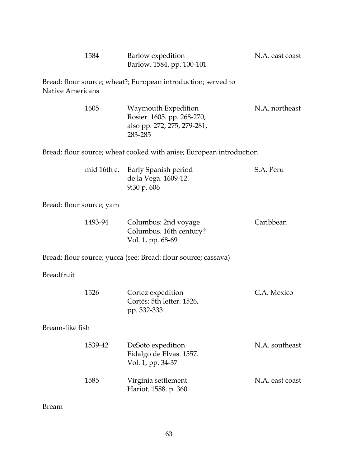|                          | 1584    | Barlow expedition<br>Barlow. 1584. pp. 100-101                                              | N.A. east coast |
|--------------------------|---------|---------------------------------------------------------------------------------------------|-----------------|
| <b>Native Americans</b>  |         | Bread: flour source; wheat?; European introduction; served to                               |                 |
|                          | 1605    | Waymouth Expedition<br>Rosier. 1605. pp. 268-270,<br>also pp. 272, 275, 279-281,<br>283-285 | N.A. northeast  |
|                          |         | Bread: flour source; wheat cooked with anise; European introduction                         |                 |
|                          |         | mid 16th c. Early Spanish period<br>de la Vega. 1609-12.<br>9:30 p. 606                     | S.A. Peru       |
| Bread: flour source; yam |         |                                                                                             |                 |
|                          | 1493-94 | Columbus: 2nd voyage<br>Columbus. 16th century?<br>Vol. 1, pp. 68-69                        | Caribbean       |
|                          |         | Bread: flour source; yucca (see: Bread: flour source; cassava)                              |                 |
| Breadfruit               |         |                                                                                             |                 |
|                          | 1526    | Cortez expedition<br>Cortés: 5th letter. 1526,<br>pp. 332-333                               | C.A. Mexico     |
| Bream-like fish          |         |                                                                                             |                 |
|                          | 1539-42 | DeSoto expedition<br>Fidalgo de Elvas. 1557.<br>Vol. 1, pp. 34-37                           | N.A. southeast  |
|                          | 1585    | Virginia settlement<br>Hariot. 1588. p. 360                                                 | N.A. east coast |
| <b>Bream</b>             |         |                                                                                             |                 |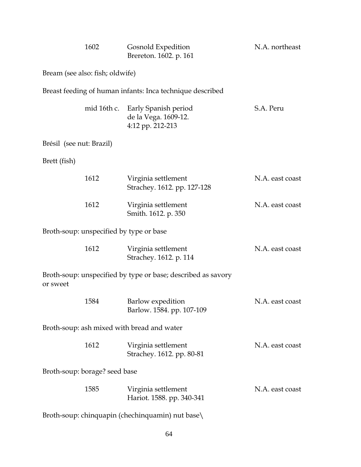|                                                 | 1602        | <b>Gosnold Expedition</b><br>Brereton. 1602. p. 161              | N.A. northeast  |
|-------------------------------------------------|-------------|------------------------------------------------------------------|-----------------|
| Bream (see also: fish; oldwife)                 |             |                                                                  |                 |
|                                                 |             | Breast feeding of human infants: Inca technique described        |                 |
|                                                 | mid 16th c. | Early Spanish period<br>de la Vega. 1609-12.<br>4:12 pp. 212-213 | S.A. Peru       |
| Brésil (see nut: Brazil)                        |             |                                                                  |                 |
| Brett (fish)                                    |             |                                                                  |                 |
|                                                 | 1612        | Virginia settlement<br>Strachey. 1612. pp. 127-128               | N.A. east coast |
|                                                 | 1612        | Virginia settlement<br>Smith. 1612. p. 350                       | N.A. east coast |
|                                                 |             | Broth-soup: unspecified by type or base                          |                 |
|                                                 | 1612        | Virginia settlement<br>Strachey. 1612. p. 114                    | N.A. east coast |
| or sweet                                        |             | Broth-soup: unspecified by type or base; described as savory     |                 |
|                                                 | 1584        | Barlow expedition<br>Barlow. 1584. pp. 107-109                   | N.A. east coast |
| Broth-soup: ash mixed with bread and water      |             |                                                                  |                 |
|                                                 | 1612        | Virginia settlement<br>Strachey. 1612. pp. 80-81                 | N.A. east coast |
| Broth-soup: borage? seed base                   |             |                                                                  |                 |
|                                                 | 1585        | Virginia settlement<br>Hariot. 1588. pp. 340-341                 | N.A. east coast |
| Broth-soup: chinquapin (chechinquamin) nut base |             |                                                                  |                 |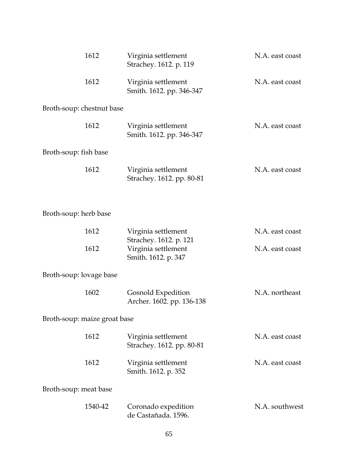| 1612                         | Virginia settlement<br>Strachey. 1612. p. 119    | N.A. east coast |  |
|------------------------------|--------------------------------------------------|-----------------|--|
| 1612                         | Virginia settlement<br>Smith. 1612. pp. 346-347  | N.A. east coast |  |
| Broth-soup: chestnut base    |                                                  |                 |  |
| 1612                         | Virginia settlement<br>Smith. 1612. pp. 346-347  | N.A. east coast |  |
| Broth-soup: fish base        |                                                  |                 |  |
| 1612                         | Virginia settlement<br>Strachey. 1612. pp. 80-81 | N.A. east coast |  |
|                              |                                                  |                 |  |
| Broth-soup: herb base        |                                                  |                 |  |
| 1612                         | Virginia settlement<br>Strachey. 1612. p. 121    | N.A. east coast |  |
| 1612                         | Virginia settlement<br>Smith. 1612. p. 347       | N.A. east coast |  |
| Broth-soup: lovage base      |                                                  |                 |  |
| 1602                         | Gosnold Expedition<br>Archer. 1602. pp. 136-138  | N.A. northeast  |  |
| Broth-soup: maize groat base |                                                  |                 |  |
| 1612                         | Virginia settlement<br>Strachey. 1612. pp. 80-81 | N.A. east coast |  |
| 1612                         | Virginia settlement<br>Smith. 1612. p. 352       | N.A. east coast |  |
| Broth-soup: meat base        |                                                  |                 |  |
| 1540-42                      | Coronado expedition<br>de Castañada. 1596.       | N.A. southwest  |  |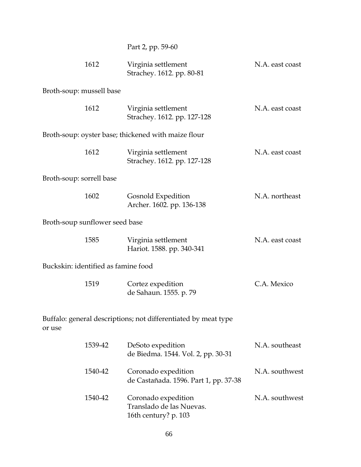|                                     | Part 2, pp. 59-60                                                       |                 |
|-------------------------------------|-------------------------------------------------------------------------|-----------------|
| 1612                                | Virginia settlement<br>Strachey. 1612. pp. 80-81                        | N.A. east coast |
| Broth-soup: mussell base            |                                                                         |                 |
| 1612                                | Virginia settlement<br>Strachey. 1612. pp. 127-128                      | N.A. east coast |
|                                     | Broth-soup: oyster base; thickened with maize flour                     |                 |
| 1612                                | Virginia settlement<br>Strachey. 1612. pp. 127-128                      | N.A. east coast |
| Broth-soup: sorrell base            |                                                                         |                 |
| 1602                                | Gosnold Expedition<br>Archer. 1602. pp. 136-138                         | N.A. northeast  |
| Broth-soup sunflower seed base      |                                                                         |                 |
| 1585                                | Virginia settlement<br>Hariot. 1588. pp. 340-341                        | N.A. east coast |
| Buckskin: identified as famine food |                                                                         |                 |
| 1519                                | Cortez expedition<br>de Sahaun. 1555. p. 79                             | C.A. Mexico     |
| or use                              | Buffalo: general descriptions; not differentiated by meat type          |                 |
| 1539-42                             | DeSoto expedition<br>de Biedma. 1544. Vol. 2, pp. 30-31                 | N.A. southeast  |
| 1540-42                             | Coronado expedition<br>de Castañada. 1596. Part 1, pp. 37-38            | N.A. southwest  |
| 1540-42                             | Coronado expedition<br>Translado de las Nuevas.<br>16th century? p. 103 | N.A. southwest  |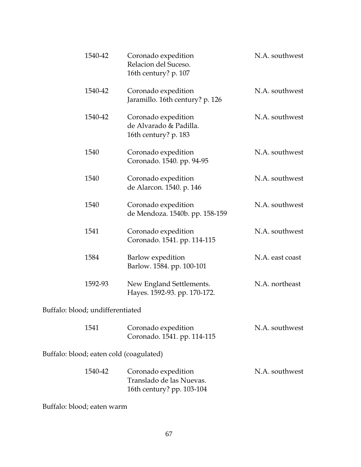|                                         | 1540-42 | Coronado expedition<br>Relacion del Suceso.<br>16th century? p. 107   | N.A. southwest  |
|-----------------------------------------|---------|-----------------------------------------------------------------------|-----------------|
|                                         | 1540-42 | Coronado expedition<br>Jaramillo. 16th century? p. 126                | N.A. southwest  |
|                                         | 1540-42 | Coronado expedition<br>de Alvarado & Padilla.<br>16th century? p. 183 | N.A. southwest  |
|                                         | 1540    | Coronado expedition<br>Coronado. 1540. pp. 94-95                      | N.A. southwest  |
|                                         | 1540    | Coronado expedition<br>de Alarcon. 1540. p. 146                       | N.A. southwest  |
|                                         | 1540    | Coronado expedition<br>de Mendoza. 1540b. pp. 158-159                 | N.A. southwest  |
|                                         | 1541    | Coronado expedition<br>Coronado. 1541. pp. 114-115                    | N.A. southwest  |
|                                         | 1584    | Barlow expedition<br>Barlow. 1584. pp. 100-101                        | N.A. east coast |
|                                         | 1592-93 | New England Settlements.<br>Hayes. 1592-93. pp. 170-172.              | N.A. northeast  |
| Buffalo: blood; undifferentiated        |         |                                                                       |                 |
|                                         | 1541    | Coronado expedition<br>Coronado. 1541. pp. 114-115                    | N.A. southwest  |
| Buffalo: blood; eaten cold (coagulated) |         |                                                                       |                 |
|                                         | 1540-42 | Coronado expedition                                                   | N.A. southwest  |

| 1540-42 | Coronado expedition       | N.A. southwest |
|---------|---------------------------|----------------|
|         | Translado de las Nuevas.  |                |
|         | 16th century? pp. 103-104 |                |

Buffalo: blood; eaten warm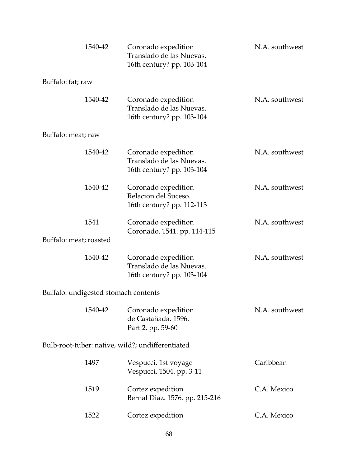|                                                  | 1540-42 | Coronado expedition<br>Translado de las Nuevas.<br>16th century? pp. 103-104 | N.A. southwest |
|--------------------------------------------------|---------|------------------------------------------------------------------------------|----------------|
| Buffalo: fat; raw                                |         |                                                                              |                |
|                                                  | 1540-42 | Coronado expedition<br>Translado de las Nuevas.<br>16th century? pp. 103-104 | N.A. southwest |
| Buffalo: meat; raw                               |         |                                                                              |                |
|                                                  | 1540-42 | Coronado expedition<br>Translado de las Nuevas.<br>16th century? pp. 103-104 | N.A. southwest |
|                                                  | 1540-42 | Coronado expedition<br>Relacion del Suceso.<br>16th century? pp. 112-113     | N.A. southwest |
|                                                  | 1541    | Coronado expedition<br>Coronado. 1541. pp. 114-115                           | N.A. southwest |
| Buffalo: meat; roasted                           |         |                                                                              |                |
|                                                  | 1540-42 | Coronado expedition<br>Translado de las Nuevas.<br>16th century? pp. 103-104 | N.A. southwest |
| Buffalo: undigested stomach contents             |         |                                                                              |                |
|                                                  | 1540-42 | Coronado expedition<br>de Castañada. 1596.<br>Part 2, pp. 59-60              | N.A. southwest |
| Bulb-root-tuber: native, wild?; undifferentiated |         |                                                                              |                |
|                                                  | 1497    | Vespucci. 1st voyage<br>Vespucci. 1504. pp. 3-11                             | Caribbean      |
|                                                  | 1519    | Cortez expedition<br>Bernal Diaz. 1576. pp. 215-216                          | C.A. Mexico    |
|                                                  | 1522    | Cortez expedition                                                            | C.A. Mexico    |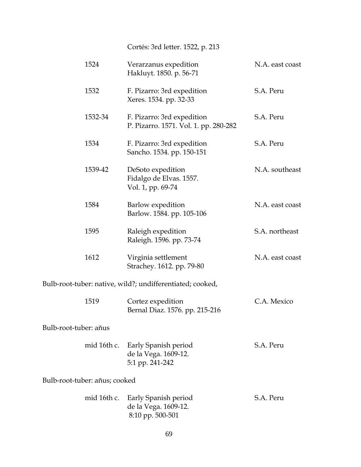Cortés: 3rd letter. 1522, p. 213

| 1524                          | Verarzanus expedition<br>Hakluyt. 1850. p. 56-71                    | N.A. east coast |
|-------------------------------|---------------------------------------------------------------------|-----------------|
| 1532                          | F. Pizarro: 3rd expedition<br>Xeres. 1534. pp. 32-33                | S.A. Peru       |
| 1532-34                       | F. Pizarro: 3rd expedition<br>P. Pizarro. 1571. Vol. 1. pp. 280-282 | S.A. Peru       |
| 1534                          | F. Pizarro: 3rd expedition<br>Sancho. 1534. pp. 150-151             | S.A. Peru       |
| 1539-42                       | DeSoto expedition<br>Fidalgo de Elvas. 1557.<br>Vol. 1, pp. 69-74   | N.A. southeast  |
| 1584                          | Barlow expedition<br>Barlow. 1584. pp. 105-106                      | N.A. east coast |
| 1595                          | Raleigh expedition<br>Raleigh. 1596. pp. 73-74                      | S.A. northeast  |
| 1612                          | Virginia settlement<br>Strachey. 1612. pp. 79-80                    | N.A. east coast |
|                               | Bulb-root-tuber: native, wild?; undifferentiated; cooked,           |                 |
| 1519                          | Cortez expedition<br>Bernal Diaz. 1576. pp. 215-216                 | C.A. Mexico     |
| Bulb-root-tuber: añus         |                                                                     |                 |
| mid 16th c.                   | Early Spanish period<br>de la Vega. 1609-12.<br>5:1 pp. 241-242     | S.A. Peru       |
| Bulb-root-tuber: añus; cooked |                                                                     |                 |
| mid 16th c.                   | Early Spanish period<br>de la Vega. 1609-12.<br>8:10 pp. 500-501    | S.A. Peru       |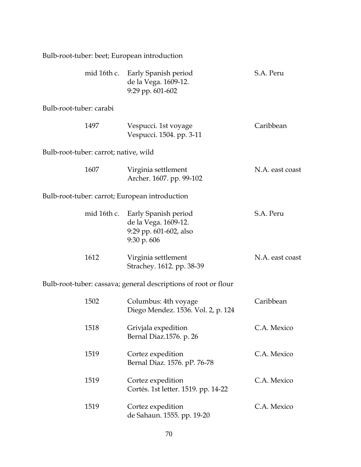| Bulb-root-tuber: beet; European introduction   |                                                                                                   |                 |
|------------------------------------------------|---------------------------------------------------------------------------------------------------|-----------------|
|                                                | mid 16th c. Early Spanish period<br>de la Vega. 1609-12.<br>9:29 pp. 601-602                      | S.A. Peru       |
| Bulb-root-tuber: carabi                        |                                                                                                   |                 |
| 1497                                           | Vespucci. 1st voyage<br>Vespucci. 1504. pp. 3-11                                                  | Caribbean       |
| Bulb-root-tuber: carrot; native, wild          |                                                                                                   |                 |
| 1607                                           | Virginia settlement<br>Archer. 1607. pp. 99-102                                                   | N.A. east coast |
| Bulb-root-tuber: carrot; European introduction |                                                                                                   |                 |
|                                                | mid 16th c. Early Spanish period<br>de la Vega. 1609-12.<br>9:29 pp. 601-602, also<br>9:30 p. 606 | S.A. Peru       |
| 1612                                           | Virginia settlement<br>Strachey. 1612. pp. 38-39                                                  | N.A. east coast |
|                                                | Bulb-root-tuber: cassava; general descriptions of root or flour                                   |                 |
| 1502                                           | Columbus: 4th voyage<br>Diego Mendez. 1536. Vol. 2, p. 124                                        | Caribbean       |
| 1518                                           | Grivjala expedition<br>Bernal Diaz.1576. p. 26                                                    | C.A. Mexico     |
| 1519                                           | Cortez expedition<br>Bernal Diaz. 1576. pP. 76-78                                                 | C.A. Mexico     |
| 1519                                           | Cortez expedition<br>Cortés. 1st letter. 1519. pp. 14-22                                          | C.A. Mexico     |
| 1519                                           | Cortez expedition<br>de Sahaun. 1555. pp. 19-20                                                   | C.A. Mexico     |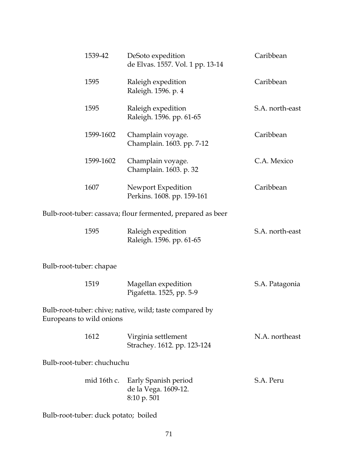|                                                                                     | 1539-42     | DeSoto expedition<br>de Elvas. 1557. Vol. 1 pp. 13-14       | Caribbean       |  |
|-------------------------------------------------------------------------------------|-------------|-------------------------------------------------------------|-----------------|--|
| 1595                                                                                |             | Raleigh expedition<br>Raleigh. 1596. p. 4                   | Caribbean       |  |
| 1595                                                                                |             | Raleigh expedition<br>Raleigh. 1596. pp. 61-65              | S.A. north-east |  |
|                                                                                     | 1599-1602   | Champlain voyage.<br>Champlain. 1603. pp. 7-12              | Caribbean       |  |
|                                                                                     | 1599-1602   | Champlain voyage.<br>Champlain. 1603. p. 32                 | C.A. Mexico     |  |
| 1607                                                                                |             | Newport Expedition<br>Perkins. 1608. pp. 159-161            | Caribbean       |  |
| Bulb-root-tuber: cassava; flour fermented, prepared as beer                         |             |                                                             |                 |  |
| 1595                                                                                |             | Raleigh expedition<br>Raleigh. 1596. pp. 61-65              | S.A. north-east |  |
| Bulb-root-tuber: chapae                                                             |             |                                                             |                 |  |
| 1519                                                                                |             | Magellan expedition<br>Pigafetta. 1525, pp. 5-9             | S.A. Patagonia  |  |
| Bulb-root-tuber: chive; native, wild; taste compared by<br>Europeans to wild onions |             |                                                             |                 |  |
| 1612                                                                                |             | Virginia settlement<br>Strachey. 1612. pp. 123-124          | N.A. northeast  |  |
| Bulb-root-tuber: chuchuchu                                                          |             |                                                             |                 |  |
|                                                                                     | mid 16th c. | Early Spanish period<br>de la Vega. 1609-12.<br>8:10 p. 501 | S.A. Peru       |  |

Bulb-root-tuber: duck potato; boiled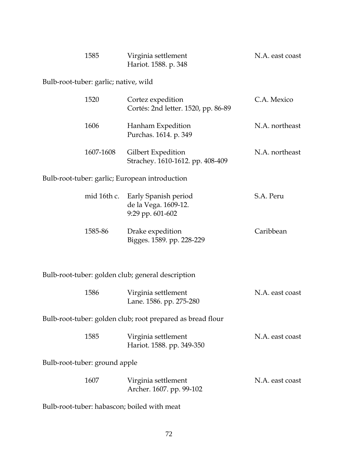| 1585 | Virginia settlement  | N.A. east coast |
|------|----------------------|-----------------|
|      | Hariot. 1588. p. 348 |                 |

# Bulb-root-tuber: garlic; native, wild

|                                                            | 1520        | Cortez expedition<br>Cortés: 2nd letter. 1520, pp. 86-89         | C.A. Mexico     |  |  |  |
|------------------------------------------------------------|-------------|------------------------------------------------------------------|-----------------|--|--|--|
|                                                            | 1606        | Hanham Expedition<br>Purchas. 1614. p. 349                       | N.A. northeast  |  |  |  |
|                                                            | 1607-1608   | Gilbert Expedition<br>Strachey. 1610-1612. pp. 408-409           | N.A. northeast  |  |  |  |
| Bulb-root-tuber: garlic; European introduction             |             |                                                                  |                 |  |  |  |
|                                                            | mid 16th c. | Early Spanish period<br>de la Vega. 1609-12.<br>9:29 pp. 601-602 | S.A. Peru       |  |  |  |
|                                                            | 1585-86     | Drake expedition<br>Bigges. 1589. pp. 228-229                    | Caribbean       |  |  |  |
| Bulb-root-tuber: golden club; general description          |             |                                                                  |                 |  |  |  |
|                                                            | 1586        | Virginia settlement<br>Lane. 1586. pp. 275-280                   | N.A. east coast |  |  |  |
| Bulb-root-tuber: golden club; root prepared as bread flour |             |                                                                  |                 |  |  |  |
|                                                            | 1585        | Virginia settlement<br>Hariot. 1588. pp. 349-350                 | N.A. east coast |  |  |  |
| Bulb-root-tuber: ground apple                              |             |                                                                  |                 |  |  |  |
|                                                            | 1607        | Virginia settlement<br>Archer. 1607. pp. 99-102                  | N.A. east coast |  |  |  |

Bulb-root-tuber: habascon; boiled with meat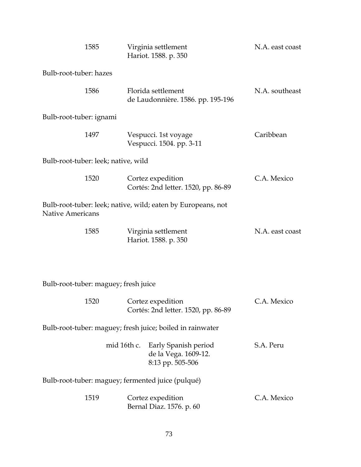| 1585                                 | Virginia settlement<br>Hariot. 1588. p. 350                                     | N.A. east coast |
|--------------------------------------|---------------------------------------------------------------------------------|-----------------|
| Bulb-root-tuber: hazes               |                                                                                 |                 |
| 1586                                 | Florida settlement<br>de Laudonnière. 1586. pp. 195-196                         | N.A. southeast  |
| Bulb-root-tuber: ignami              |                                                                                 |                 |
| 1497                                 | Vespucci. 1st voyage<br>Vespucci. 1504. pp. 3-11                                | Caribbean       |
| Bulb-root-tuber: leek; native, wild  |                                                                                 |                 |
| 1520                                 | Cortez expedition<br>Cortés: 2nd letter. 1520, pp. 86-89                        | C.A. Mexico     |
| <b>Native Americans</b>              | Bulb-root-tuber: leek; native, wild; eaten by Europeans, not                    |                 |
| 1585                                 | Virginia settlement<br>Hariot. 1588. p. 350                                     | N.A. east coast |
| Bulb-root-tuber: maguey; fresh juice |                                                                                 |                 |
| 1520                                 | Cortez expedition<br>Cortés: 2nd letter. 1520, pp. 86-89                        | C.A. Mexico     |
|                                      | Bulb-root-tuber: maguey; fresh juice; boiled in rainwater                       |                 |
|                                      | mid 16th c.<br>Early Spanish period<br>de la Vega. 1609-12.<br>8:13 pp. 505-506 | S.A. Peru       |
|                                      | Bulb-root-tuber: maguey; fermented juice (pulqué)                               |                 |
| 1519                                 | Cortez expedition<br>Bernal Diaz. 1576. p. 60                                   | C.A. Mexico     |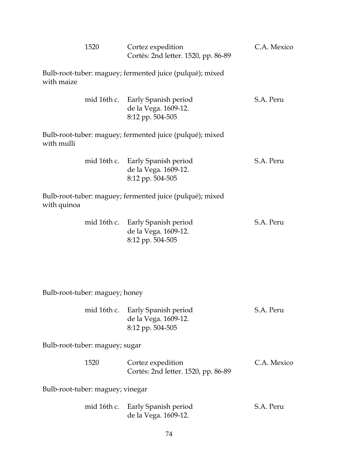|             | 1520                             | Cortez expedition<br>Cortés: 2nd letter. 1520, pp. 86-89                     | C.A. Mexico |
|-------------|----------------------------------|------------------------------------------------------------------------------|-------------|
| with maize  |                                  | Bulb-root-tuber: maguey; fermented juice (pulqué); mixed                     |             |
|             |                                  | mid 16th c. Early Spanish period<br>de la Vega. 1609-12.<br>8:12 pp. 504-505 | S.A. Peru   |
| with mulli  |                                  | Bulb-root-tuber: maguey; fermented juice (pulqué); mixed                     |             |
|             |                                  | mid 16th c. Early Spanish period<br>de la Vega. 1609-12.<br>8:12 pp. 504-505 | S.A. Peru   |
| with quinoa |                                  | Bulb-root-tuber: maguey; fermented juice (pulqué); mixed                     |             |
|             |                                  | mid 16th c. Early Spanish period<br>de la Vega. 1609-12.<br>8:12 pp. 504-505 | S.A. Peru   |
|             | Bulb-root-tuber: maguey; honey   |                                                                              |             |
|             |                                  | mid 16th c. Early Spanish period<br>de la Vega. 1609-12.<br>8:12 pp. 504-505 | S.A. Peru   |
|             | Bulb-root-tuber: maguey; sugar   |                                                                              |             |
|             | 1520                             | Cortez expedition<br>Cortés: 2nd letter. 1520, pp. 86-89                     | C.A. Mexico |
|             | Bulb-root-tuber: maguey; vinegar |                                                                              |             |
|             | mid 16th c.                      | Early Spanish period<br>de la Vega. 1609-12.                                 | S.A. Peru   |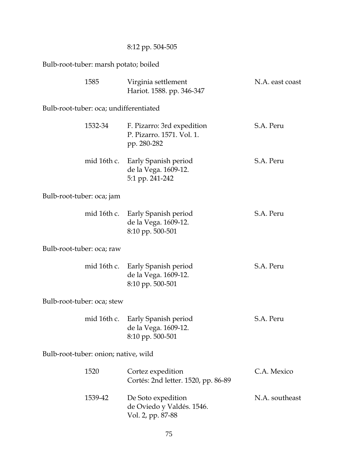## 8:12 pp. 504-505

## Bulb-root-tuber: marsh potato; boiled

| 1585                                   |             | Virginia settlement<br>Hariot. 1588. pp. 346-347                       | N.A. east coast |
|----------------------------------------|-------------|------------------------------------------------------------------------|-----------------|
| Bulb-root-tuber: oca; undifferentiated |             |                                                                        |                 |
|                                        | 1532-34     | F. Pizarro: 3rd expedition<br>P. Pizarro. 1571. Vol. 1.<br>pp. 280-282 | S.A. Peru       |
|                                        | mid 16th c. | Early Spanish period<br>de la Vega. 1609-12.<br>5:1 pp. 241-242        | S.A. Peru       |
| Bulb-root-tuber: oca; jam              |             |                                                                        |                 |
|                                        | mid 16th c. | Early Spanish period<br>de la Vega. 1609-12.<br>8:10 pp. 500-501       | S.A. Peru       |
| Bulb-root-tuber: oca; raw              |             |                                                                        |                 |
|                                        | mid 16th c. | Early Spanish period<br>de la Vega. 1609-12.<br>8:10 pp. 500-501       | S.A. Peru       |
| Bulb-root-tuber: oca; stew             |             |                                                                        |                 |
|                                        | mid 16th c. | Early Spanish period<br>de la Vega. 1609-12.<br>8:10 pp. 500-501       | S.A. Peru       |
| Bulb-root-tuber: onion; native, wild   |             |                                                                        |                 |
| 1520                                   |             | Cortez expedition<br>Cortés: 2nd letter. 1520, pp. 86-89               | C.A. Mexico     |
|                                        | 1539-42     | De Soto expedition<br>de Oviedo y Valdés. 1546.<br>Vol. 2, pp. 87-88   | N.A. southeast  |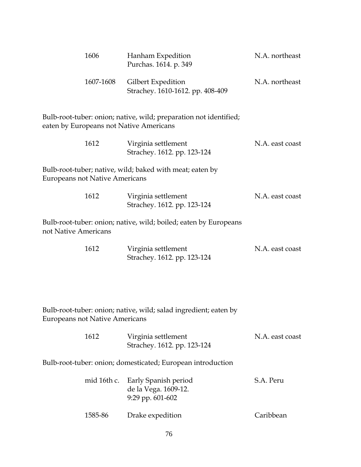|                      | 1606                                  | Hanham Expedition<br>Purchas. 1614. p. 349                                                                   | N.A. northeast  |
|----------------------|---------------------------------------|--------------------------------------------------------------------------------------------------------------|-----------------|
|                      | 1607-1608                             | Gilbert Expedition<br>Strachey. 1610-1612. pp. 408-409                                                       | N.A. northeast  |
|                      |                                       | Bulb-root-tuber: onion; native, wild; preparation not identified;<br>eaten by Europeans not Native Americans |                 |
|                      | 1612                                  | Virginia settlement<br>Strachey. 1612. pp. 123-124                                                           | N.A. east coast |
|                      | <b>Europeans not Native Americans</b> | Bulb-root-tuber; native, wild; baked with meat; eaten by                                                     |                 |
|                      | 1612                                  | Virginia settlement<br>Strachey. 1612. pp. 123-124                                                           | N.A. east coast |
| not Native Americans |                                       | Bulb-root-tuber: onion; native, wild; boiled; eaten by Europeans                                             |                 |
|                      | 1612                                  | Virginia settlement<br>Strachey. 1612. pp. 123-124                                                           | N.A. east coast |
|                      | Europeans not Native Americans        | Bulb-root-tuber: onion; native, wild; salad ingredient; eaten by                                             |                 |
|                      | 1612                                  | Virginia settlement<br>Strachey. 1612. pp. 123-124                                                           | N.A. east coast |
|                      |                                       | Bulb-root-tuber: onion; domesticated; European introduction                                                  |                 |
|                      | mid 16th c.                           | Early Spanish period<br>de la Vega. 1609-12.<br>9:29 pp. 601-602                                             | S.A. Peru       |
|                      | 1585-86                               | Drake expedition                                                                                             | Caribbean       |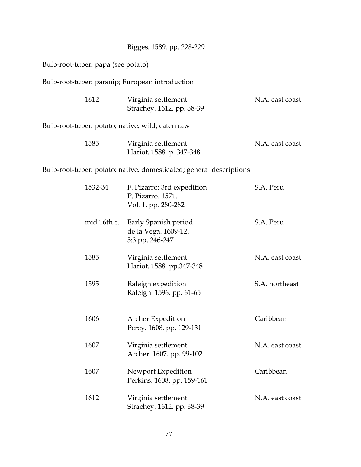| Bigges. 1589. pp. 228-229 |  |
|---------------------------|--|
|                           |  |

| Bulb-root-tuber: papa (see potato)               |             |                                                                        |                 |
|--------------------------------------------------|-------------|------------------------------------------------------------------------|-----------------|
| Bulb-root-tuber: parsnip; European introduction  |             |                                                                        |                 |
| 1612                                             |             | Virginia settlement<br>Strachey. 1612. pp. 38-39                       | N.A. east coast |
| Bulb-root-tuber: potato; native, wild; eaten raw |             |                                                                        |                 |
| 1585                                             |             | Virginia settlement<br>Hariot. 1588. p. 347-348                        | N.A. east coast |
|                                                  |             | Bulb-root-tuber: potato; native, domesticated; general descriptions    |                 |
| 1532-34                                          |             | F. Pizarro: 3rd expedition<br>P. Pizarro. 1571.<br>Vol. 1. pp. 280-282 | S.A. Peru       |
|                                                  | mid 16th c. | Early Spanish period<br>de la Vega. 1609-12.<br>5:3 pp. 246-247        | S.A. Peru       |
| 1585                                             |             | Virginia settlement<br>Hariot. 1588. pp.347-348                        | N.A. east coast |
| 1595                                             |             | Raleigh expedition<br>Raleigh. 1596. pp. 61-65                         | S.A. northeast  |
| 1606                                             |             | Archer Expedition<br>Percy. 1608. pp. 129-131                          | Caribbean       |
| 1607                                             |             | Virginia settlement<br>Archer. 1607. pp. 99-102                        | N.A. east coast |
| 1607                                             |             | Newport Expedition<br>Perkins. 1608. pp. 159-161                       | Caribbean       |

1612 Virginia settlement N.A. east coast Strachey. 1612. pp. 38-39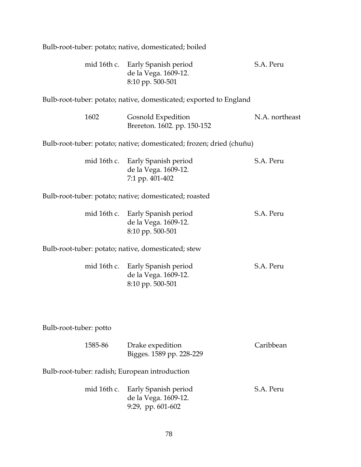|                                                | Bulb-root-tuber: potato; native, domesticated; boiled                        |                |
|------------------------------------------------|------------------------------------------------------------------------------|----------------|
|                                                | mid 16th c. Early Spanish period<br>de la Vega. 1609-12.<br>8:10 pp. 500-501 | S.A. Peru      |
|                                                | Bulb-root-tuber: potato; native, domesticated; exported to England           |                |
| 1602                                           | Gosnold Expedition<br>Brereton. 1602. pp. 150-152                            | N.A. northeast |
|                                                | Bulb-root-tuber: potato; native; domesticated; frozen; dried (chuñu)         |                |
| mid 16th c.                                    | Early Spanish period<br>de la Vega. 1609-12.<br>7:1 pp. 401-402              | S.A. Peru      |
|                                                | Bulb-root-tuber: potato; native; domesticated; roasted                       |                |
|                                                | mid 16th c. Early Spanish period<br>de la Vega. 1609-12.<br>8:10 pp. 500-501 | S.A. Peru      |
|                                                | Bulb-root-tuber: potato; native, domesticated; stew                          |                |
|                                                | mid 16th c. Early Spanish period<br>de la Vega. 1609-12.<br>8:10 pp. 500-501 | S.A. Peru      |
| Bulb-root-tuber: potto                         |                                                                              |                |
| 1585-86                                        | Drake expedition<br>Bigges. 1589 pp. 228-229                                 | Caribbean      |
| Bulb-root-tuber: radish; European introduction |                                                                              |                |
| mid 16th c.                                    | Early Spanish period<br>de la Vega. 1609-12.<br>9:29, pp. 601-602            | S.A. Peru      |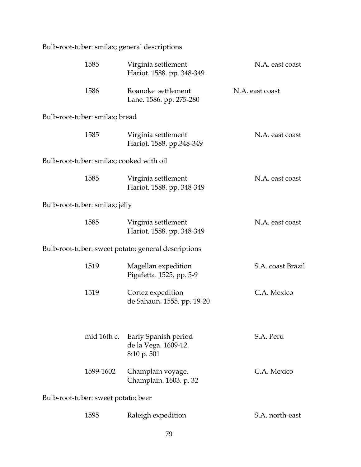Bulb-root-tuber: smilax; general descriptions

| 1585                                                |                            | Virginia settlement<br>Hariot. 1588. pp. 348-349 | N.A. east coast   |
|-----------------------------------------------------|----------------------------|--------------------------------------------------|-------------------|
| 1586                                                |                            | Roanoke settlement<br>Lane. 1586. pp. 275-280    | N.A. east coast   |
| Bulb-root-tuber: smilax; bread                      |                            |                                                  |                   |
| 1585                                                |                            | Virginia settlement<br>Hariot. 1588. pp.348-349  | N.A. east coast   |
| Bulb-root-tuber: smilax; cooked with oil            |                            |                                                  |                   |
| 1585                                                |                            | Virginia settlement<br>Hariot. 1588. pp. 348-349 | N.A. east coast   |
| Bulb-root-tuber: smilax; jelly                      |                            |                                                  |                   |
| 1585                                                |                            | Virginia settlement<br>Hariot. 1588. pp. 348-349 | N.A. east coast   |
| Bulb-root-tuber: sweet potato; general descriptions |                            |                                                  |                   |
| 1519                                                |                            | Magellan expedition<br>Pigafetta. 1525, pp. 5-9  | S.A. coast Brazil |
| 1519                                                |                            | Cortez expedition<br>de Sahaun. 1555. pp. 19-20  | C.A. Mexico       |
|                                                     | mid 16th c.<br>8:10 p. 501 | Early Spanish period<br>de la Vega. 1609-12.     | S.A. Peru         |
| 1599-1602                                           |                            | Champlain voyage.<br>Champlain. 1603. p. 32      | C.A. Mexico       |
| Bulb-root-tuber: sweet potato; beer                 |                            |                                                  |                   |

1595 Raleigh expedition S.A. north-east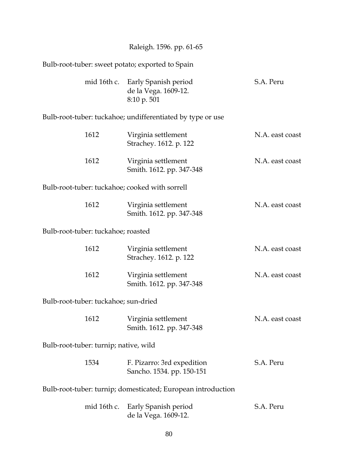|                                                  | Raleigh. 1596. pp. 61-65                                     |                 |
|--------------------------------------------------|--------------------------------------------------------------|-----------------|
| Bulb-root-tuber: sweet potato; exported to Spain |                                                              |                 |
| mid 16th c.                                      | Early Spanish period<br>de la Vega. 1609-12.<br>8:10 p. 501  | S.A. Peru       |
|                                                  | Bulb-root-tuber: tuckahoe; undifferentiated by type or use   |                 |
| 1612                                             | Virginia settlement<br>Strachey. 1612. p. 122                | N.A. east coast |
| 1612                                             | Virginia settlement<br>Smith. 1612. pp. 347-348              | N.A. east coast |
| Bulb-root-tuber: tuckahoe; cooked with sorrell   |                                                              |                 |
| 1612                                             | Virginia settlement<br>Smith. 1612. pp. 347-348              | N.A. east coast |
| Bulb-root-tuber: tuckahoe; roasted               |                                                              |                 |
| 1612                                             | Virginia settlement<br>Strachey. 1612. p. 122                | N.A. east coast |
| 1612                                             | Virginia settlement<br>Smith. 1612. pp. 347-348              | N.A. east coast |
| Bulb-root-tuber: tuckahoe; sun-dried             |                                                              |                 |
| 1612                                             | Virginia settlement<br>Smith. 1612. pp. 347-348              | N.A. east coast |
| Bulb-root-tuber: turnip; native, wild            |                                                              |                 |
| 1534                                             | F. Pizarro: 3rd expedition<br>Sancho. 1534. pp. 150-151      | S.A. Peru       |
|                                                  | Bulb-root-tuber: turnip; domesticated; European introduction |                 |
| mid 16th c.                                      | Early Spanish period<br>de la Vega. 1609-12.                 | S.A. Peru       |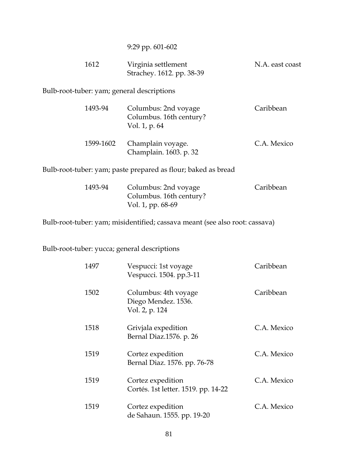| 9:29 pp. 601-602 |  |
|------------------|--|
|------------------|--|

| 1612 | Virginia settlement       | N.A. east coast |
|------|---------------------------|-----------------|
|      | Strachey. 1612. pp. 38-39 |                 |

Bulb-root-tuber: yam; general descriptions

| 1493-94   | Columbus: 2nd voyage<br>Columbus. 16th century?<br>Vol. 1, p. 64 | Caribbean   |
|-----------|------------------------------------------------------------------|-------------|
| 1599-1602 | Champlain voyage.<br>Champlain. 1603. p. 32                      | C.A. Mexico |

Bulb-root-tuber: yam; paste prepared as flour; baked as bread

| 1493-94 | Columbus: 2nd voyage    | Caribbean |
|---------|-------------------------|-----------|
|         | Columbus. 16th century? |           |
|         | Vol. 1, pp. 68-69       |           |

Bulb-root-tuber: yam; misidentified; cassava meant (see also root: cassava)

Bulb-root-tuber: yucca; general descriptions

| 1497 | Vespucci: 1st voyage<br>Vespucci. 1504. pp.3-11               | Caribbean   |
|------|---------------------------------------------------------------|-------------|
| 1502 | Columbus: 4th voyage<br>Diego Mendez. 1536.<br>Vol. 2, p. 124 | Caribbean   |
| 1518 | Grivjala expedition<br>Bernal Diaz.1576. p. 26                | C.A. Mexico |
| 1519 | Cortez expedition<br>Bernal Diaz. 1576. pp. 76-78             | C.A. Mexico |
| 1519 | Cortez expedition<br>Cortés. 1st letter. 1519. pp. 14-22      | C.A. Mexico |
| 1519 | Cortez expedition<br>de Sahaun. 1555. pp. 19-20               | C.A. Mexico |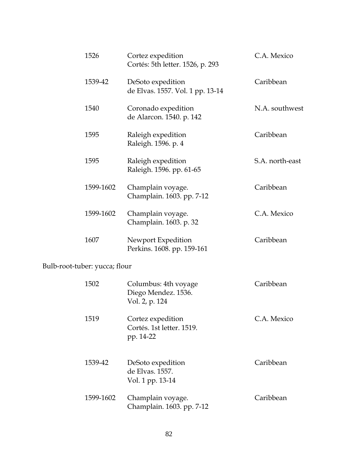|                               | 1526      | Cortez expedition<br>Cortés: 5th letter. 1526, p. 293 | C.A. Mexico     |
|-------------------------------|-----------|-------------------------------------------------------|-----------------|
|                               | 1539-42   | DeSoto expedition<br>de Elvas. 1557. Vol. 1 pp. 13-14 | Caribbean       |
|                               | 1540      | Coronado expedition<br>de Alarcon. 1540. p. 142       | N.A. southwest  |
|                               | 1595      | Raleigh expedition<br>Raleigh. 1596. p. 4             | Caribbean       |
|                               | 1595      | Raleigh expedition<br>Raleigh. 1596. pp. 61-65        | S.A. north-east |
|                               | 1599-1602 | Champlain voyage.<br>Champlain. 1603. pp. 7-12        | Caribbean       |
|                               | 1599-1602 | Champlain voyage.<br>Champlain. 1603. p. 32           | C.A. Mexico     |
|                               | 1607      | Newport Expedition<br>Perkins. 1608. pp. 159-161      | Caribbean       |
| Bulb-root-tuber: yucca; flour |           |                                                       |                 |

## Bulb-root-tul

| 1502      | Columbus: 4th voyage<br>Diego Mendez. 1536.<br>Vol. 2, p. 124 | Caribbean   |
|-----------|---------------------------------------------------------------|-------------|
| 1519      | Cortez expedition<br>Cortés. 1st letter. 1519.<br>pp. 14-22   | C.A. Mexico |
| 1539-42   | DeSoto expedition<br>de Elvas, 1557.<br>Vol. 1 pp. 13-14      | Caribbean   |
| 1599-1602 | Champlain voyage.<br>Champlain. 1603. pp. 7-12                | Caribbean   |